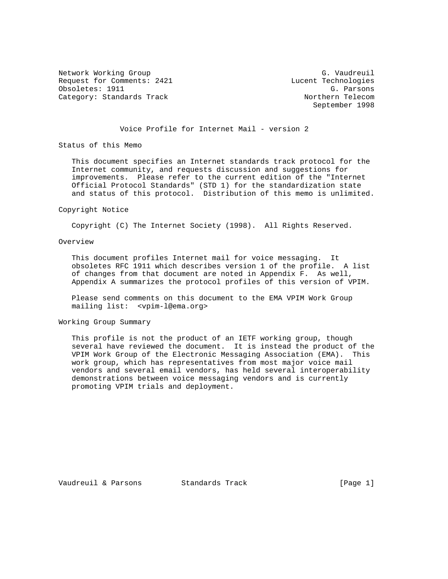Network Working Group G. Vaudreuil Request for Comments: 2421 Lucent Technologies<br>
Obsoletes: 1911 G. Parsons Obsoletes: 1911 G. Parsons<br>Category: Standards Track Category: Northern Telecom Category: Standards Track

September 1998

# Voice Profile for Internet Mail - version 2

Status of this Memo

 This document specifies an Internet standards track protocol for the Internet community, and requests discussion and suggestions for improvements. Please refer to the current edition of the "Internet Official Protocol Standards" (STD 1) for the standardization state and status of this protocol. Distribution of this memo is unlimited.

#### Copyright Notice

Copyright (C) The Internet Society (1998). All Rights Reserved.

# Overview

 This document profiles Internet mail for voice messaging. It obsoletes RFC 1911 which describes version 1 of the profile. A list of changes from that document are noted in Appendix F. As well, Appendix A summarizes the protocol profiles of this version of VPIM.

 Please send comments on this document to the EMA VPIM Work Group mailing list: <vpim-l@ema.org>

Working Group Summary

 This profile is not the product of an IETF working group, though several have reviewed the document. It is instead the product of the VPIM Work Group of the Electronic Messaging Association (EMA). This work group, which has representatives from most major voice mail vendors and several email vendors, has held several interoperability demonstrations between voice messaging vendors and is currently promoting VPIM trials and deployment.

Vaudreuil & Parsons Standards Track [Page 1]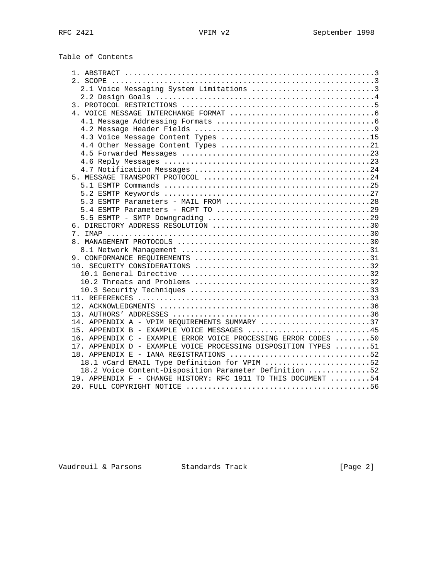Table of Contents

| 2.1 Voice Messaging System Limitations 3                       |  |  |
|----------------------------------------------------------------|--|--|
|                                                                |  |  |
|                                                                |  |  |
|                                                                |  |  |
|                                                                |  |  |
|                                                                |  |  |
|                                                                |  |  |
|                                                                |  |  |
|                                                                |  |  |
|                                                                |  |  |
|                                                                |  |  |
|                                                                |  |  |
|                                                                |  |  |
|                                                                |  |  |
|                                                                |  |  |
| 5.3 ESMTP Parameters - MAIL FROM 28                            |  |  |
|                                                                |  |  |
|                                                                |  |  |
|                                                                |  |  |
|                                                                |  |  |
|                                                                |  |  |
|                                                                |  |  |
|                                                                |  |  |
|                                                                |  |  |
|                                                                |  |  |
|                                                                |  |  |
|                                                                |  |  |
|                                                                |  |  |
|                                                                |  |  |
|                                                                |  |  |
|                                                                |  |  |
| 14. APPENDIX A - VPIM REQUIREMENTS SUMMARY 37                  |  |  |
| 15. APPENDIX B - EXAMPLE VOICE MESSAGES 45                     |  |  |
| 16. APPENDIX C - EXAMPLE ERROR VOICE PROCESSING ERROR CODES 50 |  |  |
| 17. APPENDIX D - EXAMPLE VOICE PROCESSING DISPOSITION TYPES 51 |  |  |
| 18. APPENDIX E - IANA REGISTRATIONS 52                         |  |  |
|                                                                |  |  |
| 18.1 vCard EMAIL Type Definition for VPIM 52                   |  |  |
| 18.2 Voice Content-Disposition Parameter Definition 52         |  |  |
| 19. APPENDIX F - CHANGE HISTORY: RFC 1911 TO THIS DOCUMENT 54  |  |  |
|                                                                |  |  |

Vaudreuil & Parsons Standards Track [Page 2]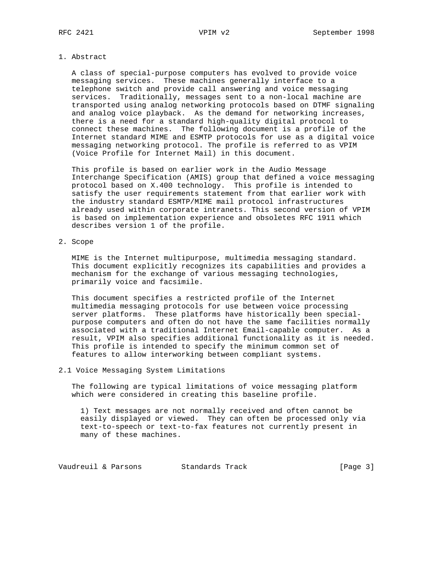#### 1. Abstract

 A class of special-purpose computers has evolved to provide voice messaging services. These machines generally interface to a telephone switch and provide call answering and voice messaging services. Traditionally, messages sent to a non-local machine are transported using analog networking protocols based on DTMF signaling and analog voice playback. As the demand for networking increases, there is a need for a standard high-quality digital protocol to connect these machines. The following document is a profile of the Internet standard MIME and ESMTP protocols for use as a digital voice messaging networking protocol. The profile is referred to as VPIM (Voice Profile for Internet Mail) in this document.

 This profile is based on earlier work in the Audio Message Interchange Specification (AMIS) group that defined a voice messaging protocol based on X.400 technology. This profile is intended to satisfy the user requirements statement from that earlier work with the industry standard ESMTP/MIME mail protocol infrastructures already used within corporate intranets. This second version of VPIM is based on implementation experience and obsoletes RFC 1911 which describes version 1 of the profile.

# 2. Scope

 MIME is the Internet multipurpose, multimedia messaging standard. This document explicitly recognizes its capabilities and provides a mechanism for the exchange of various messaging technologies, primarily voice and facsimile.

 This document specifies a restricted profile of the Internet multimedia messaging protocols for use between voice processing server platforms. These platforms have historically been special purpose computers and often do not have the same facilities normally associated with a traditional Internet Email-capable computer. As a result, VPIM also specifies additional functionality as it is needed. This profile is intended to specify the minimum common set of features to allow interworking between compliant systems.

# 2.1 Voice Messaging System Limitations

 The following are typical limitations of voice messaging platform which were considered in creating this baseline profile.

 1) Text messages are not normally received and often cannot be easily displayed or viewed. They can often be processed only via text-to-speech or text-to-fax features not currently present in many of these machines.

Vaudreuil & Parsons Standards Track [Page 3]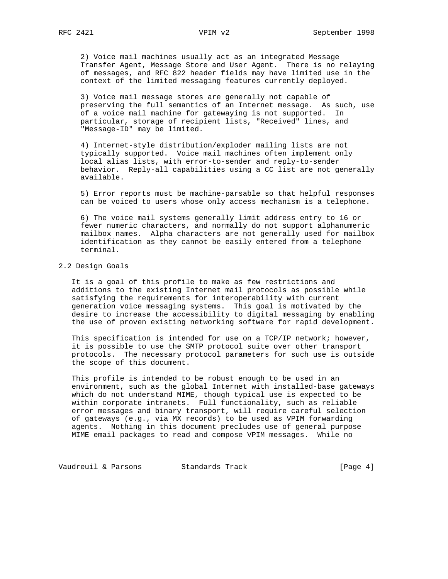2) Voice mail machines usually act as an integrated Message Transfer Agent, Message Store and User Agent. There is no relaying of messages, and RFC 822 header fields may have limited use in the context of the limited messaging features currently deployed.

 3) Voice mail message stores are generally not capable of preserving the full semantics of an Internet message. As such, use of a voice mail machine for gatewaying is not supported. In particular, storage of recipient lists, "Received" lines, and "Message-ID" may be limited.

 4) Internet-style distribution/exploder mailing lists are not typically supported. Voice mail machines often implement only local alias lists, with error-to-sender and reply-to-sender behavior. Reply-all capabilities using a CC list are not generally available.

 5) Error reports must be machine-parsable so that helpful responses can be voiced to users whose only access mechanism is a telephone.

 6) The voice mail systems generally limit address entry to 16 or fewer numeric characters, and normally do not support alphanumeric mailbox names. Alpha characters are not generally used for mailbox identification as they cannot be easily entered from a telephone terminal.

# 2.2 Design Goals

 It is a goal of this profile to make as few restrictions and additions to the existing Internet mail protocols as possible while satisfying the requirements for interoperability with current generation voice messaging systems. This goal is motivated by the desire to increase the accessibility to digital messaging by enabling the use of proven existing networking software for rapid development.

 This specification is intended for use on a TCP/IP network; however, it is possible to use the SMTP protocol suite over other transport protocols. The necessary protocol parameters for such use is outside the scope of this document.

 This profile is intended to be robust enough to be used in an environment, such as the global Internet with installed-base gateways which do not understand MIME, though typical use is expected to be within corporate intranets. Full functionality, such as reliable error messages and binary transport, will require careful selection of gateways (e.g., via MX records) to be used as VPIM forwarding agents. Nothing in this document precludes use of general purpose MIME email packages to read and compose VPIM messages. While no

Vaudreuil & Parsons Standards Track [Page 4]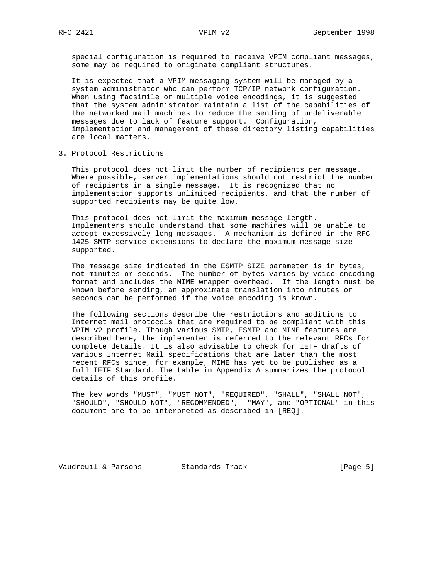special configuration is required to receive VPIM compliant messages, some may be required to originate compliant structures.

 It is expected that a VPIM messaging system will be managed by a system administrator who can perform TCP/IP network configuration. When using facsimile or multiple voice encodings, it is suggested that the system administrator maintain a list of the capabilities of the networked mail machines to reduce the sending of undeliverable messages due to lack of feature support. Configuration, implementation and management of these directory listing capabilities are local matters.

3. Protocol Restrictions

 This protocol does not limit the number of recipients per message. Where possible, server implementations should not restrict the number of recipients in a single message. It is recognized that no implementation supports unlimited recipients, and that the number of supported recipients may be quite low.

 This protocol does not limit the maximum message length. Implementers should understand that some machines will be unable to accept excessively long messages. A mechanism is defined in the RFC 1425 SMTP service extensions to declare the maximum message size supported.

 The message size indicated in the ESMTP SIZE parameter is in bytes, not minutes or seconds. The number of bytes varies by voice encoding format and includes the MIME wrapper overhead. If the length must be known before sending, an approximate translation into minutes or seconds can be performed if the voice encoding is known.

 The following sections describe the restrictions and additions to Internet mail protocols that are required to be compliant with this VPIM v2 profile. Though various SMTP, ESMTP and MIME features are described here, the implementer is referred to the relevant RFCs for complete details. It is also advisable to check for IETF drafts of various Internet Mail specifications that are later than the most recent RFCs since, for example, MIME has yet to be published as a full IETF Standard. The table in Appendix A summarizes the protocol details of this profile.

 The key words "MUST", "MUST NOT", "REQUIRED", "SHALL", "SHALL NOT", "SHOULD", "SHOULD NOT", "RECOMMENDED", "MAY", and "OPTIONAL" in this document are to be interpreted as described in [REQ].

Vaudreuil & Parsons Standards Track [Page 5]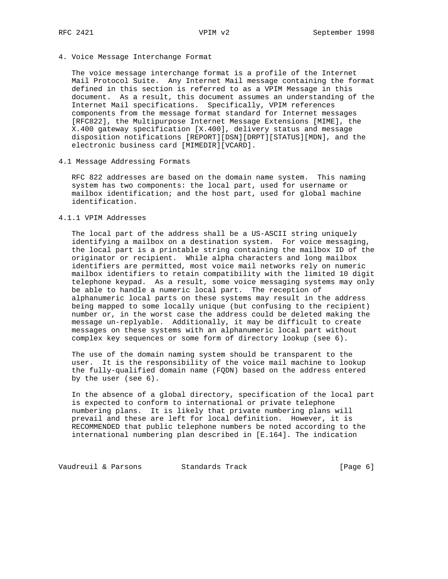4. Voice Message Interchange Format

 The voice message interchange format is a profile of the Internet Mail Protocol Suite. Any Internet Mail message containing the format defined in this section is referred to as a VPIM Message in this document. As a result, this document assumes an understanding of the Internet Mail specifications. Specifically, VPIM references components from the message format standard for Internet messages [RFC822], the Multipurpose Internet Message Extensions [MIME], the X.400 gateway specification [X.400], delivery status and message disposition notifications [REPORT][DSN][DRPT][STATUS][MDN], and the electronic business card [MIMEDIR][VCARD].

4.1 Message Addressing Formats

 RFC 822 addresses are based on the domain name system. This naming system has two components: the local part, used for username or mailbox identification; and the host part, used for global machine identification.

4.1.1 VPIM Addresses

 The local part of the address shall be a US-ASCII string uniquely identifying a mailbox on a destination system. For voice messaging, the local part is a printable string containing the mailbox ID of the originator or recipient. While alpha characters and long mailbox identifiers are permitted, most voice mail networks rely on numeric mailbox identifiers to retain compatibility with the limited 10 digit telephone keypad. As a result, some voice messaging systems may only be able to handle a numeric local part. The reception of alphanumeric local parts on these systems may result in the address being mapped to some locally unique (but confusing to the recipient) number or, in the worst case the address could be deleted making the message un-replyable. Additionally, it may be difficult to create messages on these systems with an alphanumeric local part without complex key sequences or some form of directory lookup (see 6).

 The use of the domain naming system should be transparent to the user. It is the responsibility of the voice mail machine to lookup the fully-qualified domain name (FQDN) based on the address entered by the user (see 6).

 In the absence of a global directory, specification of the local part is expected to conform to international or private telephone numbering plans. It is likely that private numbering plans will prevail and these are left for local definition. However, it is RECOMMENDED that public telephone numbers be noted according to the international numbering plan described in [E.164]. The indication

Vaudreuil & Parsons Standards Track (Page 6)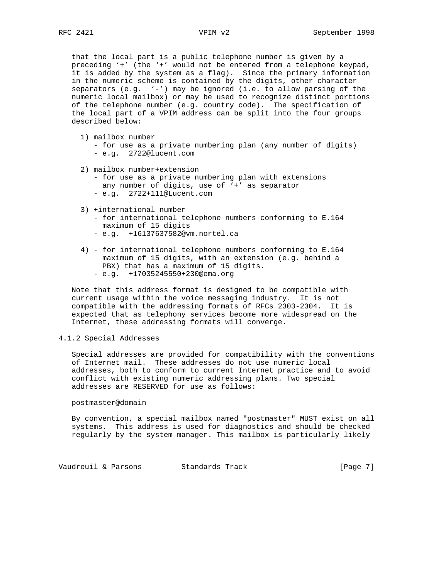that the local part is a public telephone number is given by a preceding '+' (the '+' would not be entered from a telephone keypad, it is added by the system as a flag). Since the primary information in the numeric scheme is contained by the digits, other character separators (e.g. '-') may be ignored (i.e. to allow parsing of the numeric local mailbox) or may be used to recognize distinct portions of the telephone number (e.g. country code). The specification of the local part of a VPIM address can be split into the four groups described below:

- 1) mailbox number
	- for use as a private numbering plan (any number of digits)
	- e.g. 2722@lucent.com
- 2) mailbox number+extension
	- for use as a private numbering plan with extensions any number of digits, use of '+' as separator - e.g. 2722+111@Lucent.com
	-
- 3) +international number - for international telephone numbers conforming to E.164 maximum of 15 digits
	- e.g. +16137637582@vm.nortel.ca
- 4) for international telephone numbers conforming to E.164 maximum of 15 digits, with an extension (e.g. behind a PBX) that has a maximum of 15 digits. - e.g. +17035245550+230@ema.org
- Note that this address format is designed to be compatible with current usage within the voice messaging industry. It is not compatible with the addressing formats of RFCs 2303-2304. It is expected that as telephony services become more widespread on the Internet, these addressing formats will converge.

#### 4.1.2 Special Addresses

 Special addresses are provided for compatibility with the conventions of Internet mail. These addresses do not use numeric local addresses, both to conform to current Internet practice and to avoid conflict with existing numeric addressing plans. Two special addresses are RESERVED for use as follows:

#### postmaster@domain

 By convention, a special mailbox named "postmaster" MUST exist on all systems. This address is used for diagnostics and should be checked regularly by the system manager. This mailbox is particularly likely

Vaudreuil & Parsons Standards Track (Page 7)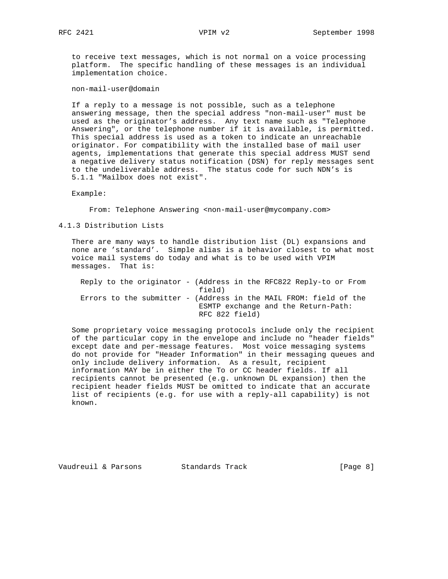to receive text messages, which is not normal on a voice processing platform. The specific handling of these messages is an individual implementation choice.

non-mail-user@domain

 If a reply to a message is not possible, such as a telephone answering message, then the special address "non-mail-user" must be used as the originator's address. Any text name such as "Telephone Answering", or the telephone number if it is available, is permitted. This special address is used as a token to indicate an unreachable originator. For compatibility with the installed base of mail user agents, implementations that generate this special address MUST send a negative delivery status notification (DSN) for reply messages sent to the undeliverable address. The status code for such NDN's is 5.1.1 "Mailbox does not exist".

Example:

From: Telephone Answering <non-mail-user@mycompany.com>

4.1.3 Distribution Lists

 There are many ways to handle distribution list (DL) expansions and none are 'standard'. Simple alias is a behavior closest to what most voice mail systems do today and what is to be used with VPIM messages. That is:

|  | Reply to the originator - (Address in the RFC822 Reply-to or From |                |  |  |                                     |  |
|--|-------------------------------------------------------------------|----------------|--|--|-------------------------------------|--|
|  |                                                                   | field)         |  |  |                                     |  |
|  | Errors to the submitter - (Address in the MAIL FROM: field of the |                |  |  |                                     |  |
|  |                                                                   |                |  |  | ESMTP exchange and the Return-Path: |  |
|  |                                                                   | RFC 822 field) |  |  |                                     |  |

 Some proprietary voice messaging protocols include only the recipient of the particular copy in the envelope and include no "header fields" except date and per-message features. Most voice messaging systems do not provide for "Header Information" in their messaging queues and only include delivery information. As a result, recipient information MAY be in either the To or CC header fields. If all recipients cannot be presented (e.g. unknown DL expansion) then the recipient header fields MUST be omitted to indicate that an accurate list of recipients (e.g. for use with a reply-all capability) is not known.

Vaudreuil & Parsons Standards Track (Page 8)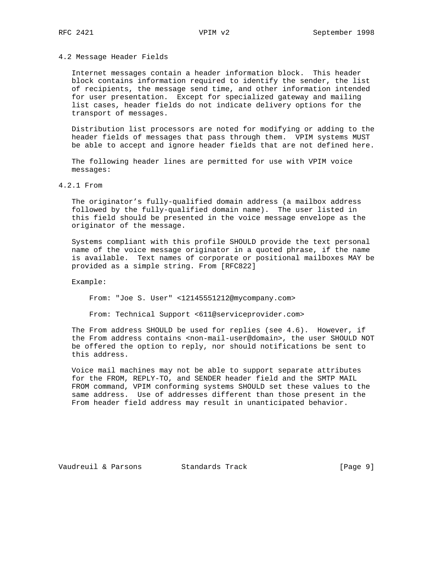4.2 Message Header Fields

 Internet messages contain a header information block. This header block contains information required to identify the sender, the list of recipients, the message send time, and other information intended for user presentation. Except for specialized gateway and mailing list cases, header fields do not indicate delivery options for the transport of messages.

 Distribution list processors are noted for modifying or adding to the header fields of messages that pass through them. VPIM systems MUST be able to accept and ignore header fields that are not defined here.

 The following header lines are permitted for use with VPIM voice messages:

4.2.1 From

 The originator's fully-qualified domain address (a mailbox address followed by the fully-qualified domain name). The user listed in this field should be presented in the voice message envelope as the originator of the message.

 Systems compliant with this profile SHOULD provide the text personal name of the voice message originator in a quoted phrase, if the name is available. Text names of corporate or positional mailboxes MAY be provided as a simple string. From [RFC822]

Example:

From: "Joe S. User" <12145551212@mycompany.com>

From: Technical Support <611@serviceprovider.com>

 The From address SHOULD be used for replies (see 4.6). However, if the From address contains <non-mail-user@domain>, the user SHOULD NOT be offered the option to reply, nor should notifications be sent to this address.

 Voice mail machines may not be able to support separate attributes for the FROM, REPLY-TO, and SENDER header field and the SMTP MAIL FROM command, VPIM conforming systems SHOULD set these values to the same address. Use of addresses different than those present in the From header field address may result in unanticipated behavior.

Vaudreuil & Parsons Standards Track [Page 9]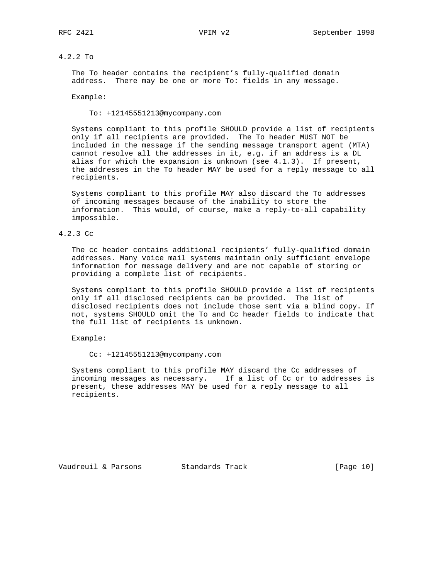# 4.2.2 To

 The To header contains the recipient's fully-qualified domain address. There may be one or more To: fields in any message.

Example:

To: +12145551213@mycompany.com

 Systems compliant to this profile SHOULD provide a list of recipients only if all recipients are provided. The To header MUST NOT be included in the message if the sending message transport agent (MTA) cannot resolve all the addresses in it, e.g. if an address is a DL alias for which the expansion is unknown (see 4.1.3). If present, the addresses in the To header MAY be used for a reply message to all recipients.

 Systems compliant to this profile MAY also discard the To addresses of incoming messages because of the inability to store the information. This would, of course, make a reply-to-all capability impossible.

# 4.2.3 Cc

 The cc header contains additional recipients' fully-qualified domain addresses. Many voice mail systems maintain only sufficient envelope information for message delivery and are not capable of storing or providing a complete list of recipients.

 Systems compliant to this profile SHOULD provide a list of recipients only if all disclosed recipients can be provided. The list of disclosed recipients does not include those sent via a blind copy. If not, systems SHOULD omit the To and Cc header fields to indicate that the full list of recipients is unknown.

Example:

Cc: +12145551213@mycompany.com

 Systems compliant to this profile MAY discard the Cc addresses of incoming messages as necessary. If a list of Cc or to addresses is present, these addresses MAY be used for a reply message to all recipients.

Vaudreuil & Parsons Standards Track [Page 10]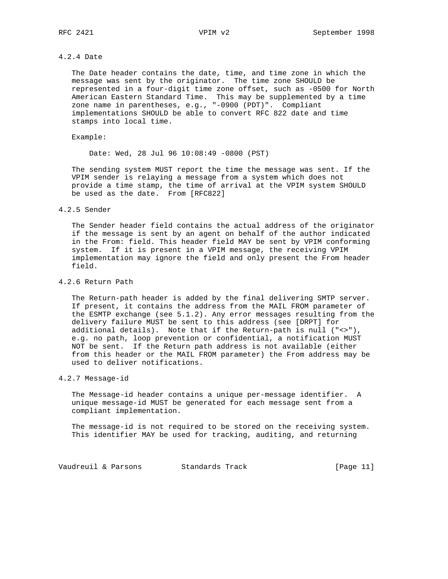# 4.2.4 Date

 The Date header contains the date, time, and time zone in which the message was sent by the originator. The time zone SHOULD be represented in a four-digit time zone offset, such as -0500 for North American Eastern Standard Time. This may be supplemented by a time zone name in parentheses, e.g., "-0900 (PDT)". Compliant implementations SHOULD be able to convert RFC 822 date and time stamps into local time.

#### Example:

Date: Wed, 28 Jul 96 10:08:49 -0800 (PST)

 The sending system MUST report the time the message was sent. If the VPIM sender is relaying a message from a system which does not provide a time stamp, the time of arrival at the VPIM system SHOULD be used as the date. From [RFC822]

#### 4.2.5 Sender

 The Sender header field contains the actual address of the originator if the message is sent by an agent on behalf of the author indicated in the From: field. This header field MAY be sent by VPIM conforming system. If it is present in a VPIM message, the receiving VPIM implementation may ignore the field and only present the From header field.

#### 4.2.6 Return Path

 The Return-path header is added by the final delivering SMTP server. If present, it contains the address from the MAIL FROM parameter of the ESMTP exchange (see 5.1.2). Any error messages resulting from the delivery failure MUST be sent to this address (see [DRPT] for additional details). Note that if the Return-path is null ("<>"), e.g. no path, loop prevention or confidential, a notification MUST NOT be sent. If the Return path address is not available (either from this header or the MAIL FROM parameter) the From address may be used to deliver notifications.

# 4.2.7 Message-id

 The Message-id header contains a unique per-message identifier. A unique message-id MUST be generated for each message sent from a compliant implementation.

 The message-id is not required to be stored on the receiving system. This identifier MAY be used for tracking, auditing, and returning

Vaudreuil & Parsons Standards Track [Page 11]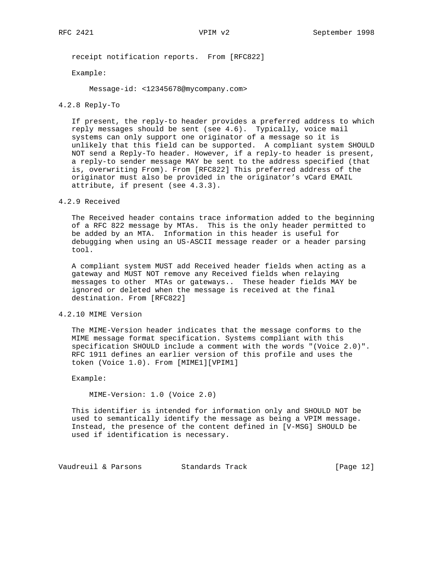receipt notification reports. From [RFC822]

Example:

Message-id: <12345678@mycompany.com>

#### 4.2.8 Reply-To

 If present, the reply-to header provides a preferred address to which reply messages should be sent (see 4.6). Typically, voice mail systems can only support one originator of a message so it is unlikely that this field can be supported. A compliant system SHOULD NOT send a Reply-To header. However, if a reply-to header is present, a reply-to sender message MAY be sent to the address specified (that is, overwriting From). From [RFC822] This preferred address of the originator must also be provided in the originator's vCard EMAIL attribute, if present (see 4.3.3).

4.2.9 Received

 The Received header contains trace information added to the beginning of a RFC 822 message by MTAs. This is the only header permitted to be added by an MTA. Information in this header is useful for debugging when using an US-ASCII message reader or a header parsing tool.

 A compliant system MUST add Received header fields when acting as a gateway and MUST NOT remove any Received fields when relaying messages to other MTAs or gateways.. These header fields MAY be ignored or deleted when the message is received at the final destination. From [RFC822]

## 4.2.10 MIME Version

 The MIME-Version header indicates that the message conforms to the MIME message format specification. Systems compliant with this specification SHOULD include a comment with the words "(Voice 2.0)". RFC 1911 defines an earlier version of this profile and uses the token (Voice 1.0). From [MIME1][VPIM1]

Example:

MIME-Version: 1.0 (Voice 2.0)

 This identifier is intended for information only and SHOULD NOT be used to semantically identify the message as being a VPIM message. Instead, the presence of the content defined in [V-MSG] SHOULD be used if identification is necessary.

Vaudreuil & Parsons Standards Track [Page 12]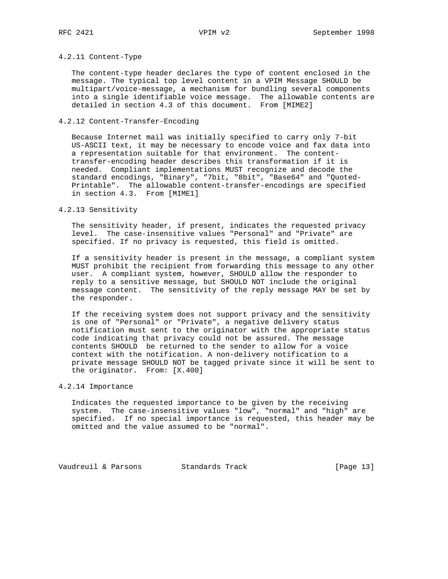# 4.2.11 Content-Type

 The content-type header declares the type of content enclosed in the message. The typical top level content in a VPIM Message SHOULD be multipart/voice-message, a mechanism for bundling several components into a single identifiable voice message. The allowable contents are detailed in section 4.3 of this document. From [MIME2]

# 4.2.12 Content-Transfer-Encoding

 Because Internet mail was initially specified to carry only 7-bit US-ASCII text, it may be necessary to encode voice and fax data into a representation suitable for that environment. The content transfer-encoding header describes this transformation if it is needed. Compliant implementations MUST recognize and decode the standard encodings, "Binary", "7bit, "8bit", "Base64" and "Quoted- Printable". The allowable content-transfer-encodings are specified in section 4.3. From [MIME1]

#### 4.2.13 Sensitivity

 The sensitivity header, if present, indicates the requested privacy level. The case-insensitive values "Personal" and "Private" are specified. If no privacy is requested, this field is omitted.

 If a sensitivity header is present in the message, a compliant system MUST prohibit the recipient from forwarding this message to any other user. A compliant system, however, SHOULD allow the responder to reply to a sensitive message, but SHOULD NOT include the original message content. The sensitivity of the reply message MAY be set by the responder.

 If the receiving system does not support privacy and the sensitivity is one of "Personal" or "Private", a negative delivery status notification must sent to the originator with the appropriate status code indicating that privacy could not be assured. The message contents SHOULD be returned to the sender to allow for a voice context with the notification. A non-delivery notification to a private message SHOULD NOT be tagged private since it will be sent to the originator. From: [X.400]

## 4.2.14 Importance

 Indicates the requested importance to be given by the receiving system. The case-insensitive values "low", "normal" and "high" are specified. If no special importance is requested, this header may be omitted and the value assumed to be "normal".

Vaudreuil & Parsons Standards Track [Page 13]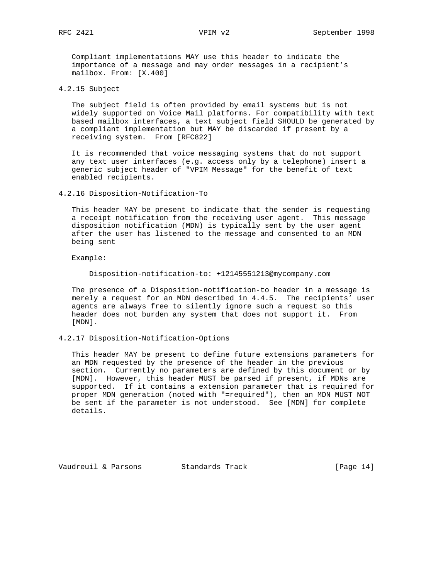Compliant implementations MAY use this header to indicate the importance of a message and may order messages in a recipient's mailbox. From: [X.400]

4.2.15 Subject

 The subject field is often provided by email systems but is not widely supported on Voice Mail platforms. For compatibility with text based mailbox interfaces, a text subject field SHOULD be generated by a compliant implementation but MAY be discarded if present by a receiving system. From [RFC822]

 It is recommended that voice messaging systems that do not support any text user interfaces (e.g. access only by a telephone) insert a generic subject header of "VPIM Message" for the benefit of text enabled recipients.

4.2.16 Disposition-Notification-To

 This header MAY be present to indicate that the sender is requesting a receipt notification from the receiving user agent. This message disposition notification (MDN) is typically sent by the user agent after the user has listened to the message and consented to an MDN being sent

Example:

Disposition-notification-to: +12145551213@mycompany.com

 The presence of a Disposition-notification-to header in a message is merely a request for an MDN described in 4.4.5. The recipients' user agents are always free to silently ignore such a request so this header does not burden any system that does not support it. From [MDN].

4.2.17 Disposition-Notification-Options

 This header MAY be present to define future extensions parameters for an MDN requested by the presence of the header in the previous section. Currently no parameters are defined by this document or by [MDN]. However, this header MUST be parsed if present, if MDNs are supported. If it contains a extension parameter that is required for proper MDN generation (noted with "=required"), then an MDN MUST NOT be sent if the parameter is not understood. See [MDN] for complete details.

Vaudreuil & Parsons Standards Track [Page 14]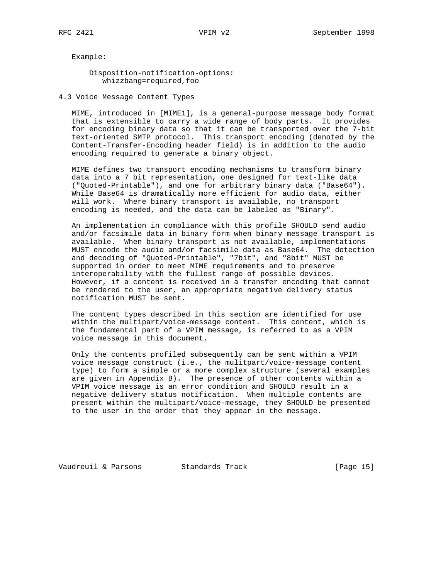Example:

 Disposition-notification-options: whizzbang=required,foo

4.3 Voice Message Content Types

 MIME, introduced in [MIME1], is a general-purpose message body format that is extensible to carry a wide range of body parts. It provides for encoding binary data so that it can be transported over the 7-bit text-oriented SMTP protocol. This transport encoding (denoted by the Content-Transfer-Encoding header field) is in addition to the audio encoding required to generate a binary object.

 MIME defines two transport encoding mechanisms to transform binary data into a 7 bit representation, one designed for text-like data ("Quoted-Printable"), and one for arbitrary binary data ("Base64"). While Base64 is dramatically more efficient for audio data, either will work. Where binary transport is available, no transport encoding is needed, and the data can be labeled as "Binary".

 An implementation in compliance with this profile SHOULD send audio and/or facsimile data in binary form when binary message transport is available. When binary transport is not available, implementations MUST encode the audio and/or facsimile data as Base64. The detection and decoding of "Quoted-Printable", "7bit", and "8bit" MUST be supported in order to meet MIME requirements and to preserve interoperability with the fullest range of possible devices. However, if a content is received in a transfer encoding that cannot be rendered to the user, an appropriate negative delivery status notification MUST be sent.

 The content types described in this section are identified for use within the multipart/voice-message content. This content, which is the fundamental part of a VPIM message, is referred to as a VPIM voice message in this document.

 Only the contents profiled subsequently can be sent within a VPIM voice message construct (i.e., the mulitpart/voice-message content type) to form a simple or a more complex structure (several examples are given in Appendix B). The presence of other contents within a VPIM voice message is an error condition and SHOULD result in a negative delivery status notification. When multiple contents are present within the multipart/voice-message, they SHOULD be presented to the user in the order that they appear in the message.

Vaudreuil & Parsons Standards Track [Page 15]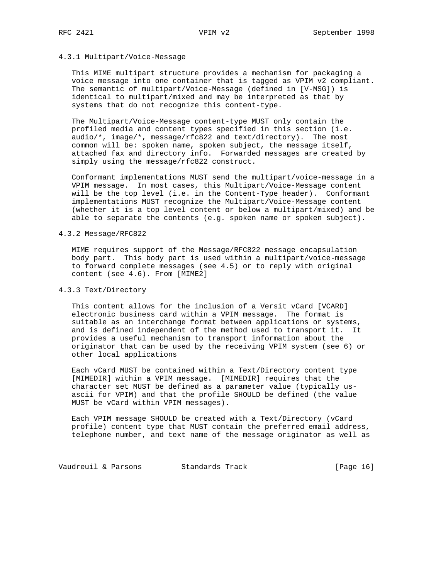### 4.3.1 Multipart/Voice-Message

 This MIME multipart structure provides a mechanism for packaging a voice message into one container that is tagged as VPIM v2 compliant. The semantic of multipart/Voice-Message (defined in [V-MSG]) is identical to multipart/mixed and may be interpreted as that by systems that do not recognize this content-type.

 The Multipart/Voice-Message content-type MUST only contain the profiled media and content types specified in this section (i.e. audio/\*, image/\*, message/rfc822 and text/directory). The most common will be: spoken name, spoken subject, the message itself, attached fax and directory info. Forwarded messages are created by simply using the message/rfc822 construct.

 Conformant implementations MUST send the multipart/voice-message in a VPIM message. In most cases, this Multipart/Voice-Message content will be the top level (i.e. in the Content-Type header). Conformant implementations MUST recognize the Multipart/Voice-Message content (whether it is a top level content or below a multipart/mixed) and be able to separate the contents (e.g. spoken name or spoken subject).

#### 4.3.2 Message/RFC822

 MIME requires support of the Message/RFC822 message encapsulation body part. This body part is used within a multipart/voice-message to forward complete messages (see 4.5) or to reply with original content (see 4.6). From [MIME2]

# 4.3.3 Text/Directory

 This content allows for the inclusion of a Versit vCard [VCARD] electronic business card within a VPIM message. The format is suitable as an interchange format between applications or systems, and is defined independent of the method used to transport it. It provides a useful mechanism to transport information about the originator that can be used by the receiving VPIM system (see 6) or other local applications

 Each vCard MUST be contained within a Text/Directory content type [MIMEDIR] within a VPIM message. [MIMEDIR] requires that the character set MUST be defined as a parameter value (typically us ascii for VPIM) and that the profile SHOULD be defined (the value MUST be vCard within VPIM messages).

 Each VPIM message SHOULD be created with a Text/Directory (vCard profile) content type that MUST contain the preferred email address, telephone number, and text name of the message originator as well as

Vaudreuil & Parsons Standards Track [Page 16]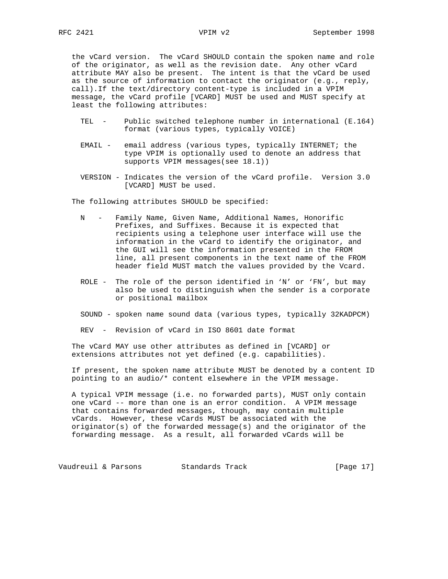the vCard version. The vCard SHOULD contain the spoken name and role of the originator, as well as the revision date. Any other vCard attribute MAY also be present. The intent is that the vCard be used as the source of information to contact the originator (e.g., reply, call).If the text/directory content-type is included in a VPIM message, the vCard profile [VCARD] MUST be used and MUST specify at least the following attributes:

- TEL Public switched telephone number in international (E.164) format (various types, typically VOICE)
- EMAIL email address (various types, typically INTERNET; the type VPIM is optionally used to denote an address that supports VPIM messages(see 18.1))
- VERSION Indicates the version of the vCard profile. Version 3.0 [VCARD] MUST be used.

The following attributes SHOULD be specified:

- N Family Name, Given Name, Additional Names, Honorific Prefixes, and Suffixes. Because it is expected that recipients using a telephone user interface will use the information in the vCard to identify the originator, and the GUI will see the information presented in the FROM line, all present components in the text name of the FROM header field MUST match the values provided by the Vcard.
- ROLE The role of the person identified in 'N' or 'FN', but may also be used to distinguish when the sender is a corporate or positional mailbox
- SOUND spoken name sound data (various types, typically 32KADPCM)

REV - Revision of vCard in ISO 8601 date format

 The vCard MAY use other attributes as defined in [VCARD] or extensions attributes not yet defined (e.g. capabilities).

 If present, the spoken name attribute MUST be denoted by a content ID pointing to an audio/\* content elsewhere in the VPIM message.

 A typical VPIM message (i.e. no forwarded parts), MUST only contain one vCard -- more than one is an error condition. A VPIM message that contains forwarded messages, though, may contain multiple vCards. However, these vCards MUST be associated with the originator(s) of the forwarded message(s) and the originator of the forwarding message. As a result, all forwarded vCards will be

Vaudreuil & Parsons Standards Track (Page 17)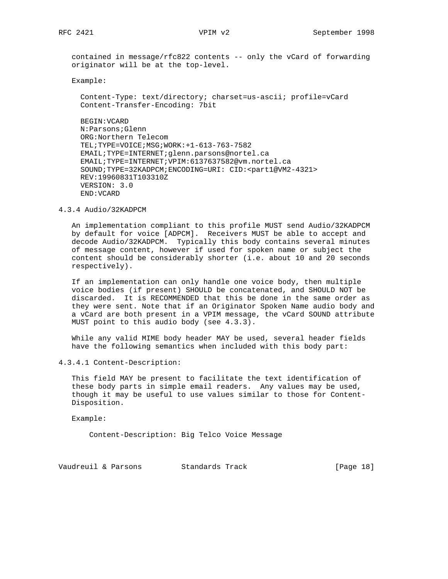contained in message/rfc822 contents -- only the vCard of forwarding originator will be at the top-level.

Example:

 Content-Type: text/directory; charset=us-ascii; profile=vCard Content-Transfer-Encoding: 7bit

 BEGIN:VCARD N:Parsons;Glenn ORG:Northern Telecom TEL;TYPE=VOICE;MSG;WORK:+1-613-763-7582 EMAIL;TYPE=INTERNET;glenn.parsons@nortel.ca EMAIL;TYPE=INTERNET;VPIM:6137637582@vm.nortel.ca SOUND;TYPE=32KADPCM;ENCODING=URI: CID:<part1@VM2-4321> REV:19960831T103310Z VERSION: 3.0 END:VCARD

4.3.4 Audio/32KADPCM

 An implementation compliant to this profile MUST send Audio/32KADPCM by default for voice [ADPCM]. Receivers MUST be able to accept and decode Audio/32KADPCM. Typically this body contains several minutes of message content, however if used for spoken name or subject the content should be considerably shorter (i.e. about 10 and 20 seconds respectively).

 If an implementation can only handle one voice body, then multiple voice bodies (if present) SHOULD be concatenated, and SHOULD NOT be discarded. It is RECOMMENDED that this be done in the same order as they were sent. Note that if an Originator Spoken Name audio body and a vCard are both present in a VPIM message, the vCard SOUND attribute MUST point to this audio body (see 4.3.3).

 While any valid MIME body header MAY be used, several header fields have the following semantics when included with this body part:

4.3.4.1 Content-Description:

 This field MAY be present to facilitate the text identification of these body parts in simple email readers. Any values may be used, though it may be useful to use values similar to those for Content- Disposition.

Example:

Content-Description: Big Telco Voice Message

Vaudreuil & Parsons Standards Track [Page 18]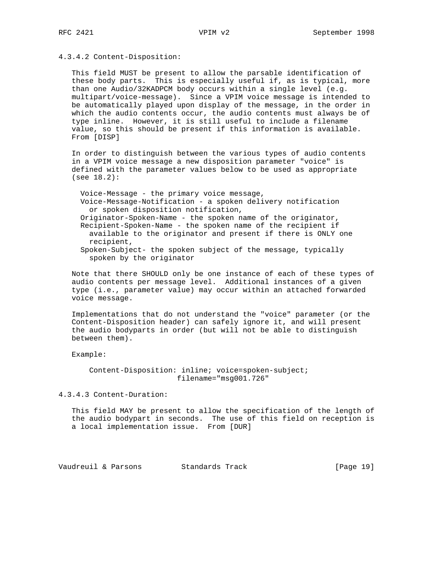4.3.4.2 Content-Disposition:

 This field MUST be present to allow the parsable identification of these body parts. This is especially useful if, as is typical, more than one Audio/32KADPCM body occurs within a single level (e.g. multipart/voice-message). Since a VPIM voice message is intended to be automatically played upon display of the message, in the order in which the audio contents occur, the audio contents must always be of type inline. However, it is still useful to include a filename value, so this should be present if this information is available. From [DISP]

 In order to distinguish between the various types of audio contents in a VPIM voice message a new disposition parameter "voice" is defined with the parameter values below to be used as appropriate (see 18.2):

 Voice-Message - the primary voice message, Voice-Message-Notification - a spoken delivery notification or spoken disposition notification, Originator-Spoken-Name - the spoken name of the originator, Recipient-Spoken-Name - the spoken name of the recipient if available to the originator and present if there is ONLY one recipient, Spoken-Subject- the spoken subject of the message, typically spoken by the originator

 Note that there SHOULD only be one instance of each of these types of audio contents per message level. Additional instances of a given type (i.e., parameter value) may occur within an attached forwarded voice message.

 Implementations that do not understand the "voice" parameter (or the Content-Disposition header) can safely ignore it, and will present the audio bodyparts in order (but will not be able to distinguish between them).

Example:

 Content-Disposition: inline; voice=spoken-subject; filename="msg001.726"

4.3.4.3 Content-Duration:

 This field MAY be present to allow the specification of the length of the audio bodypart in seconds. The use of this field on reception is a local implementation issue. From [DUR]

Vaudreuil & Parsons Standards Track [Page 19]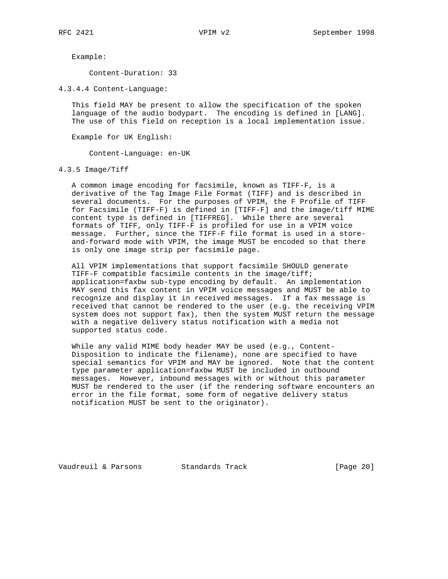Example:

Content-Duration: 33

4.3.4.4 Content-Language:

 This field MAY be present to allow the specification of the spoken language of the audio bodypart. The encoding is defined in [LANG]. The use of this field on reception is a local implementation issue.

Example for UK English:

Content-Language: en-UK

4.3.5 Image/Tiff

 A common image encoding for facsimile, known as TIFF-F, is a derivative of the Tag Image File Format (TIFF) and is described in several documents. For the purposes of VPIM, the F Profile of TIFF for Facsimile (TIFF-F) is defined in [TIFF-F] and the image/tiff MIME content type is defined in [TIFFREG]. While there are several formats of TIFF, only TIFF-F is profiled for use in a VPIM voice message. Further, since the TIFF-F file format is used in a store and-forward mode with VPIM, the image MUST be encoded so that there is only one image strip per facsimile page.

 All VPIM implementations that support facsimile SHOULD generate TIFF-F compatible facsimile contents in the image/tiff; application=faxbw sub-type encoding by default. An implementation MAY send this fax content in VPIM voice messages and MUST be able to recognize and display it in received messages. If a fax message is received that cannot be rendered to the user (e.g. the receiving VPIM system does not support fax), then the system MUST return the message with a negative delivery status notification with a media not supported status code.

 While any valid MIME body header MAY be used (e.g., Content- Disposition to indicate the filename), none are specified to have special semantics for VPIM and MAY be ignored. Note that the content type parameter application=faxbw MUST be included in outbound messages. However, inbound messages with or without this parameter MUST be rendered to the user (if the rendering software encounters an error in the file format, some form of negative delivery status notification MUST be sent to the originator).

Vaudreuil & Parsons Standards Track [Page 20]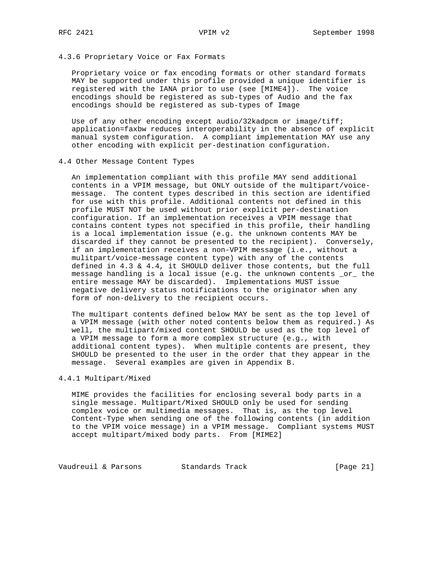# 4.3.6 Proprietary Voice or Fax Formats

 Proprietary voice or fax encoding formats or other standard formats MAY be supported under this profile provided a unique identifier is registered with the IANA prior to use (see [MIME4]). The voice encodings should be registered as sub-types of Audio and the fax encodings should be registered as sub-types of Image

Use of any other encoding except audio/32kadpcm or image/tiff; application=faxbw reduces interoperability in the absence of explicit manual system configuration. A compliant implementation MAY use any other encoding with explicit per-destination configuration.

#### 4.4 Other Message Content Types

 An implementation compliant with this profile MAY send additional contents in a VPIM message, but ONLY outside of the multipart/voice message. The content types described in this section are identified for use with this profile. Additional contents not defined in this profile MUST NOT be used without prior explicit per-destination configuration. If an implementation receives a VPIM message that contains content types not specified in this profile, their handling is a local implementation issue (e.g. the unknown contents MAY be discarded if they cannot be presented to the recipient). Conversely, if an implementation receives a non-VPIM message (i.e., without a mulitpart/voice-message content type) with any of the contents defined in 4.3 & 4.4, it SHOULD deliver those contents, but the full message handling is a local issue (e.g. the unknown contents \_or\_ the entire message MAY be discarded). Implementations MUST issue negative delivery status notifications to the originator when any form of non-delivery to the recipient occurs.

 The multipart contents defined below MAY be sent as the top level of a VPIM message (with other noted contents below them as required.) As well, the multipart/mixed content SHOULD be used as the top level of a VPIM message to form a more complex structure (e.g., with additional content types). When multiple contents are present, they SHOULD be presented to the user in the order that they appear in the message. Several examples are given in Appendix B.

# 4.4.1 Multipart/Mixed

 MIME provides the facilities for enclosing several body parts in a single message. Multipart/Mixed SHOULD only be used for sending complex voice or multimedia messages. That is, as the top level Content-Type when sending one of the following contents (in addition to the VPIM voice message) in a VPIM message. Compliant systems MUST accept multipart/mixed body parts. From [MIME2]

Vaudreuil & Parsons Standards Track [Page 21]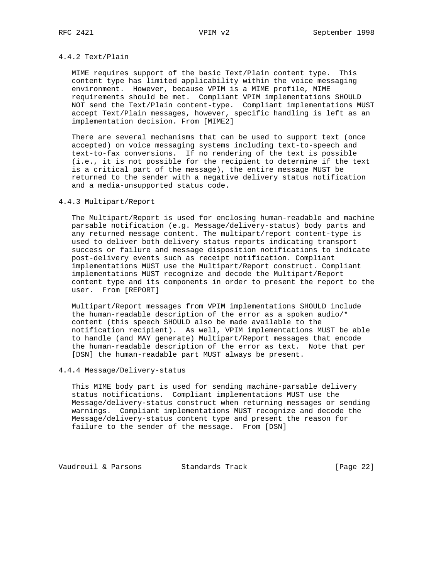# 4.4.2 Text/Plain

 MIME requires support of the basic Text/Plain content type. This content type has limited applicability within the voice messaging environment. However, because VPIM is a MIME profile, MIME requirements should be met. Compliant VPIM implementations SHOULD NOT send the Text/Plain content-type. Compliant implementations MUST accept Text/Plain messages, however, specific handling is left as an implementation decision. From [MIME2]

 There are several mechanisms that can be used to support text (once accepted) on voice messaging systems including text-to-speech and text-to-fax conversions. If no rendering of the text is possible (i.e., it is not possible for the recipient to determine if the text is a critical part of the message), the entire message MUST be returned to the sender with a negative delivery status notification and a media-unsupported status code.

# 4.4.3 Multipart/Report

 The Multipart/Report is used for enclosing human-readable and machine parsable notification (e.g. Message/delivery-status) body parts and any returned message content. The multipart/report content-type is used to deliver both delivery status reports indicating transport success or failure and message disposition notifications to indicate post-delivery events such as receipt notification. Compliant implementations MUST use the Multipart/Report construct. Compliant implementations MUST recognize and decode the Multipart/Report content type and its components in order to present the report to the user. From [REPORT]

 Multipart/Report messages from VPIM implementations SHOULD include the human-readable description of the error as a spoken audio/\* content (this speech SHOULD also be made available to the notification recipient). As well, VPIM implementations MUST be able to handle (and MAY generate) Multipart/Report messages that encode the human-readable description of the error as text. Note that per [DSN] the human-readable part MUST always be present.

# 4.4.4 Message/Delivery-status

 This MIME body part is used for sending machine-parsable delivery status notifications. Compliant implementations MUST use the Message/delivery-status construct when returning messages or sending warnings. Compliant implementations MUST recognize and decode the Message/delivery-status content type and present the reason for failure to the sender of the message. From [DSN]

Vaudreuil & Parsons Standards Track [Page 22]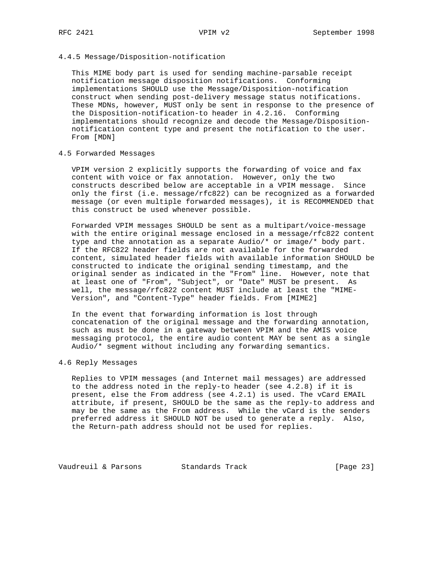# 4.4.5 Message/Disposition-notification

 This MIME body part is used for sending machine-parsable receipt notification message disposition notifications. Conforming implementations SHOULD use the Message/Disposition-notification construct when sending post-delivery message status notifications. These MDNs, however, MUST only be sent in response to the presence of the Disposition-notification-to header in 4.2.16. Conforming implementations should recognize and decode the Message/Disposition notification content type and present the notification to the user. From [MDN]

# 4.5 Forwarded Messages

 VPIM version 2 explicitly supports the forwarding of voice and fax content with voice or fax annotation. However, only the two constructs described below are acceptable in a VPIM message. Since only the first (i.e. message/rfc822) can be recognized as a forwarded message (or even multiple forwarded messages), it is RECOMMENDED that this construct be used whenever possible.

 Forwarded VPIM messages SHOULD be sent as a multipart/voice-message with the entire original message enclosed in a message/rfc822 content type and the annotation as a separate Audio/\* or image/\* body part. If the RFC822 header fields are not available for the forwarded content, simulated header fields with available information SHOULD be constructed to indicate the original sending timestamp, and the original sender as indicated in the "From" line. However, note that at least one of "From", "Subject", or "Date" MUST be present. As well, the message/rfc822 content MUST include at least the "MIME- Version", and "Content-Type" header fields. From [MIME2]

 In the event that forwarding information is lost through concatenation of the original message and the forwarding annotation, such as must be done in a gateway between VPIM and the AMIS voice messaging protocol, the entire audio content MAY be sent as a single Audio/\* segment without including any forwarding semantics.

#### 4.6 Reply Messages

 Replies to VPIM messages (and Internet mail messages) are addressed to the address noted in the reply-to header (see 4.2.8) if it is present, else the From address (see 4.2.1) is used. The vCard EMAIL attribute, if present, SHOULD be the same as the reply-to address and may be the same as the From address. While the vCard is the senders preferred address it SHOULD NOT be used to generate a reply. Also, the Return-path address should not be used for replies.

Vaudreuil & Parsons Standards Track [Page 23]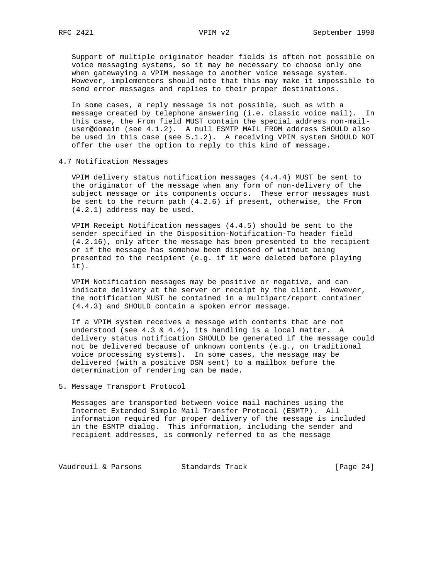Support of multiple originator header fields is often not possible on voice messaging systems, so it may be necessary to choose only one when gatewaying a VPIM message to another voice message system. However, implementers should note that this may make it impossible to send error messages and replies to their proper destinations.

 In some cases, a reply message is not possible, such as with a message created by telephone answering (i.e. classic voice mail). In this case, the From field MUST contain the special address non-mail user@domain (see 4.1.2). A null ESMTP MAIL FROM address SHOULD also be used in this case (see 5.1.2). A receiving VPIM system SHOULD NOT offer the user the option to reply to this kind of message.

4.7 Notification Messages

 VPIM delivery status notification messages (4.4.4) MUST be sent to the originator of the message when any form of non-delivery of the subject message or its components occurs. These error messages must be sent to the return path (4.2.6) if present, otherwise, the From (4.2.1) address may be used.

 VPIM Receipt Notification messages (4.4.5) should be sent to the sender specified in the Disposition-Notification-To header field (4.2.16), only after the message has been presented to the recipient or if the message has somehow been disposed of without being presented to the recipient (e.g. if it were deleted before playing it).

 VPIM Notification messages may be positive or negative, and can indicate delivery at the server or receipt by the client. However, the notification MUST be contained in a multipart/report container (4.4.3) and SHOULD contain a spoken error message.

 If a VPIM system receives a message with contents that are not understood (see 4.3 & 4.4), its handling is a local matter. A delivery status notification SHOULD be generated if the message could not be delivered because of unknown contents (e.g., on traditional voice processing systems). In some cases, the message may be delivered (with a positive DSN sent) to a mailbox before the determination of rendering can be made.

5. Message Transport Protocol

 Messages are transported between voice mail machines using the Internet Extended Simple Mail Transfer Protocol (ESMTP). All information required for proper delivery of the message is included in the ESMTP dialog. This information, including the sender and recipient addresses, is commonly referred to as the message

Vaudreuil & Parsons Standards Track [Page 24]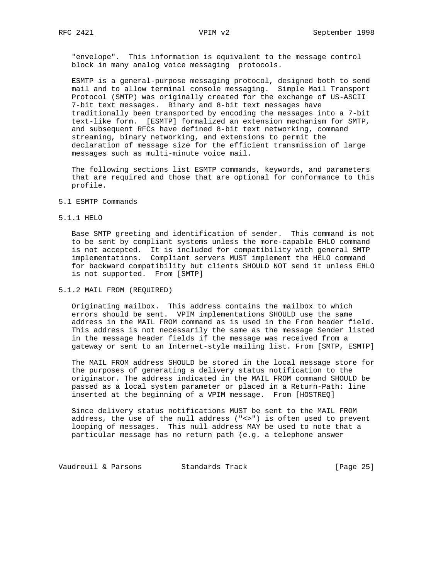"envelope". This information is equivalent to the message control block in many analog voice messaging protocols.

 ESMTP is a general-purpose messaging protocol, designed both to send mail and to allow terminal console messaging. Simple Mail Transport Protocol (SMTP) was originally created for the exchange of US-ASCII 7-bit text messages. Binary and 8-bit text messages have traditionally been transported by encoding the messages into a 7-bit text-like form. [ESMTP] formalized an extension mechanism for SMTP, and subsequent RFCs have defined 8-bit text networking, command streaming, binary networking, and extensions to permit the declaration of message size for the efficient transmission of large messages such as multi-minute voice mail.

 The following sections list ESMTP commands, keywords, and parameters that are required and those that are optional for conformance to this profile.

#### 5.1 ESMTP Commands

#### 5.1.1 HELO

 Base SMTP greeting and identification of sender. This command is not to be sent by compliant systems unless the more-capable EHLO command is not accepted. It is included for compatibility with general SMTP implementations. Compliant servers MUST implement the HELO command for backward compatibility but clients SHOULD NOT send it unless EHLO is not supported. From [SMTP]

# 5.1.2 MAIL FROM (REQUIRED)

 Originating mailbox. This address contains the mailbox to which errors should be sent. VPIM implementations SHOULD use the same address in the MAIL FROM command as is used in the From header field. This address is not necessarily the same as the message Sender listed in the message header fields if the message was received from a gateway or sent to an Internet-style mailing list. From [SMTP, ESMTP]

 The MAIL FROM address SHOULD be stored in the local message store for the purposes of generating a delivery status notification to the originator. The address indicated in the MAIL FROM command SHOULD be passed as a local system parameter or placed in a Return-Path: line inserted at the beginning of a VPIM message. From [HOSTREQ]

 Since delivery status notifications MUST be sent to the MAIL FROM address, the use of the null address ("<>") is often used to prevent looping of messages. This null address MAY be used to note that a particular message has no return path (e.g. a telephone answer

Vaudreuil & Parsons Standards Track [Page 25]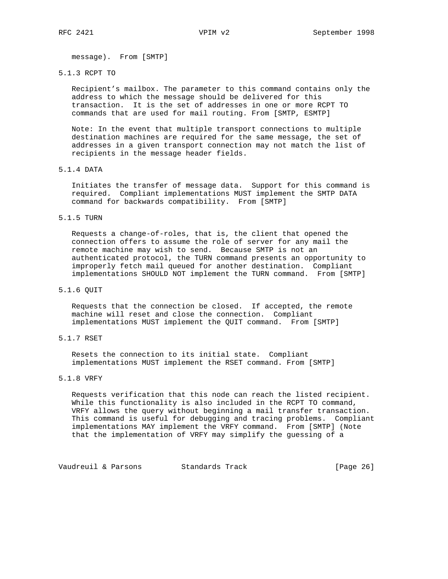message). From [SMTP]

# 5.1.3 RCPT TO

 Recipient's mailbox. The parameter to this command contains only the address to which the message should be delivered for this transaction. It is the set of addresses in one or more RCPT TO commands that are used for mail routing. From [SMTP, ESMTP]

 Note: In the event that multiple transport connections to multiple destination machines are required for the same message, the set of addresses in a given transport connection may not match the list of recipients in the message header fields.

#### 5.1.4 DATA

 Initiates the transfer of message data. Support for this command is required. Compliant implementations MUST implement the SMTP DATA command for backwards compatibility. From [SMTP]

# 5.1.5 TURN

 Requests a change-of-roles, that is, the client that opened the connection offers to assume the role of server for any mail the remote machine may wish to send. Because SMTP is not an authenticated protocol, the TURN command presents an opportunity to improperly fetch mail queued for another destination. Compliant implementations SHOULD NOT implement the TURN command. From [SMTP]

#### 5.1.6 QUIT

 Requests that the connection be closed. If accepted, the remote machine will reset and close the connection. Compliant implementations MUST implement the QUIT command. From [SMTP]

# 5.1.7 RSET

 Resets the connection to its initial state. Compliant implementations MUST implement the RSET command. From [SMTP]

# 5.1.8 VRFY

 Requests verification that this node can reach the listed recipient. While this functionality is also included in the RCPT TO command, VRFY allows the query without beginning a mail transfer transaction. This command is useful for debugging and tracing problems. Compliant implementations MAY implement the VRFY command. From [SMTP] (Note that the implementation of VRFY may simplify the guessing of a

Vaudreuil & Parsons Standards Track [Page 26]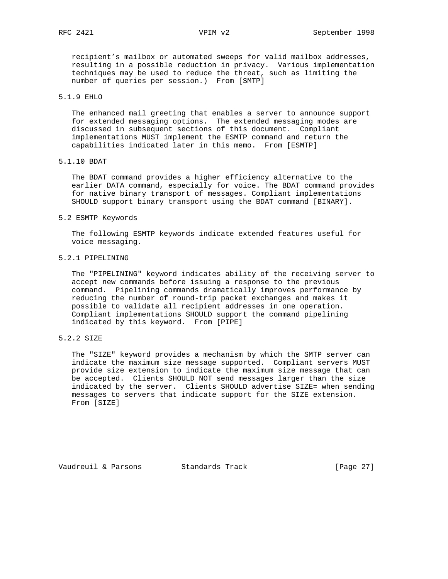recipient's mailbox or automated sweeps for valid mailbox addresses, resulting in a possible reduction in privacy. Various implementation techniques may be used to reduce the threat, such as limiting the number of queries per session.) From [SMTP]

# 5.1.9 EHLO

 The enhanced mail greeting that enables a server to announce support for extended messaging options. The extended messaging modes are discussed in subsequent sections of this document. Compliant implementations MUST implement the ESMTP command and return the capabilities indicated later in this memo. From [ESMTP]

# 5.1.10 BDAT

 The BDAT command provides a higher efficiency alternative to the earlier DATA command, especially for voice. The BDAT command provides for native binary transport of messages. Compliant implementations SHOULD support binary transport using the BDAT command [BINARY].

#### 5.2 ESMTP Keywords

 The following ESMTP keywords indicate extended features useful for voice messaging.

#### 5.2.1 PIPELINING

 The "PIPELINING" keyword indicates ability of the receiving server to accept new commands before issuing a response to the previous command. Pipelining commands dramatically improves performance by reducing the number of round-trip packet exchanges and makes it possible to validate all recipient addresses in one operation. Compliant implementations SHOULD support the command pipelining indicated by this keyword. From [PIPE]

# 5.2.2 SIZE

 The "SIZE" keyword provides a mechanism by which the SMTP server can indicate the maximum size message supported. Compliant servers MUST provide size extension to indicate the maximum size message that can be accepted. Clients SHOULD NOT send messages larger than the size indicated by the server. Clients SHOULD advertise SIZE= when sending messages to servers that indicate support for the SIZE extension. From [SIZE]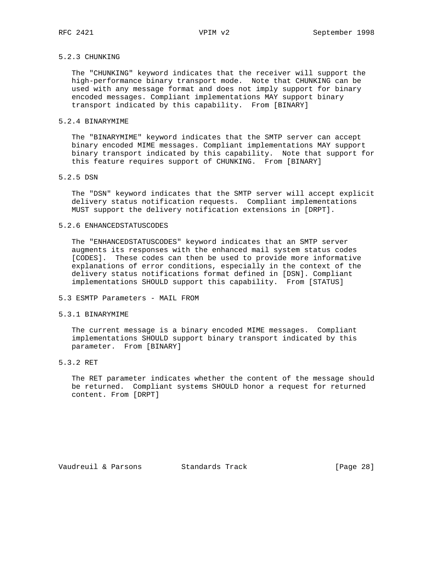# 5.2.3 CHUNKING

 The "CHUNKING" keyword indicates that the receiver will support the high-performance binary transport mode. Note that CHUNKING can be used with any message format and does not imply support for binary encoded messages. Compliant implementations MAY support binary transport indicated by this capability. From [BINARY]

# 5.2.4 BINARYMIME

 The "BINARYMIME" keyword indicates that the SMTP server can accept binary encoded MIME messages. Compliant implementations MAY support binary transport indicated by this capability. Note that support for this feature requires support of CHUNKING. From [BINARY]

### 5.2.5 DSN

 The "DSN" keyword indicates that the SMTP server will accept explicit delivery status notification requests. Compliant implementations MUST support the delivery notification extensions in [DRPT].

#### 5.2.6 ENHANCEDSTATUSCODES

 The "ENHANCEDSTATUSCODES" keyword indicates that an SMTP server augments its responses with the enhanced mail system status codes [CODES]. These codes can then be used to provide more informative explanations of error conditions, especially in the context of the delivery status notifications format defined in [DSN]. Compliant implementations SHOULD support this capability. From [STATUS]

# 5.3 ESMTP Parameters - MAIL FROM

#### 5.3.1 BINARYMIME

 The current message is a binary encoded MIME messages. Compliant implementations SHOULD support binary transport indicated by this parameter. From [BINARY]

# 5.3.2 RET

 The RET parameter indicates whether the content of the message should be returned. Compliant systems SHOULD honor a request for returned content. From [DRPT]

Vaudreuil & Parsons Standards Track [Page 28]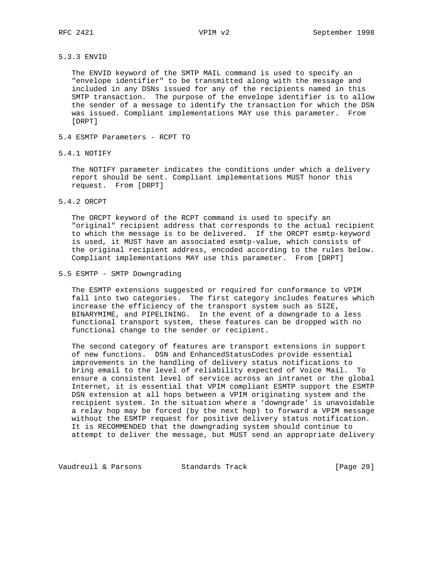#### 5.3.3 ENVID

 The ENVID keyword of the SMTP MAIL command is used to specify an "envelope identifier" to be transmitted along with the message and included in any DSNs issued for any of the recipients named in this SMTP transaction. The purpose of the envelope identifier is to allow the sender of a message to identify the transaction for which the DSN was issued. Compliant implementations MAY use this parameter. From [DRPT]

- 5.4 ESMTP Parameters RCPT TO
- 5.4.1 NOTIFY

 The NOTIFY parameter indicates the conditions under which a delivery report should be sent. Compliant implementations MUST honor this request. From [DRPT]

# 5.4.2 ORCPT

 The ORCPT keyword of the RCPT command is used to specify an "original" recipient address that corresponds to the actual recipient to which the message is to be delivered. If the ORCPT esmtp-keyword is used, it MUST have an associated esmtp-value, which consists of the original recipient address, encoded according to the rules below. Compliant implementations MAY use this parameter. From [DRPT]

#### 5.5 ESMTP - SMTP Downgrading

 The ESMTP extensions suggested or required for conformance to VPIM fall into two categories. The first category includes features which increase the efficiency of the transport system such as SIZE, BINARYMIME, and PIPELINING. In the event of a downgrade to a less functional transport system, these features can be dropped with no functional change to the sender or recipient.

 The second category of features are transport extensions in support of new functions. DSN and EnhancedStatusCodes provide essential improvements in the handling of delivery status notifications to bring email to the level of reliability expected of Voice Mail. To ensure a consistent level of service across an intranet or the global Internet, it is essential that VPIM compliant ESMTP support the ESMTP DSN extension at all hops between a VPIM originating system and the recipient system. In the situation where a 'downgrade' is unavoidable a relay hop may be forced (by the next hop) to forward a VPIM message without the ESMTP request for positive delivery status notification. It is RECOMMENDED that the downgrading system should continue to attempt to deliver the message, but MUST send an appropriate delivery

Vaudreuil & Parsons Standards Track [Page 29]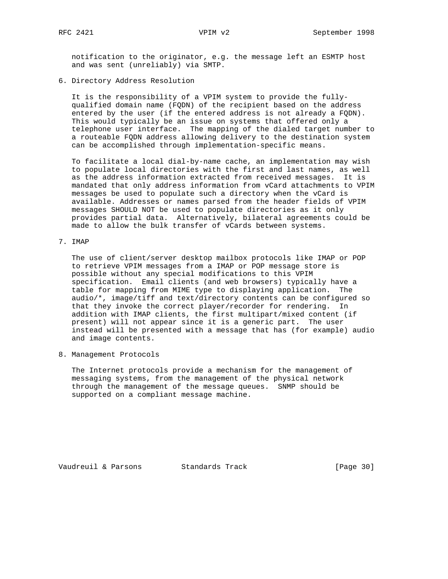notification to the originator, e.g. the message left an ESMTP host and was sent (unreliably) via SMTP.

6. Directory Address Resolution

 It is the responsibility of a VPIM system to provide the fully qualified domain name (FQDN) of the recipient based on the address entered by the user (if the entered address is not already a FQDN). This would typically be an issue on systems that offered only a telephone user interface. The mapping of the dialed target number to a routeable FQDN address allowing delivery to the destination system can be accomplished through implementation-specific means.

 To facilitate a local dial-by-name cache, an implementation may wish to populate local directories with the first and last names, as well as the address information extracted from received messages. It is mandated that only address information from vCard attachments to VPIM messages be used to populate such a directory when the vCard is available. Addresses or names parsed from the header fields of VPIM messages SHOULD NOT be used to populate directories as it only provides partial data. Alternatively, bilateral agreements could be made to allow the bulk transfer of vCards between systems.

7. IMAP

 The use of client/server desktop mailbox protocols like IMAP or POP to retrieve VPIM messages from a IMAP or POP message store is possible without any special modifications to this VPIM specification. Email clients (and web browsers) typically have a table for mapping from MIME type to displaying application. The audio/\*, image/tiff and text/directory contents can be configured so that they invoke the correct player/recorder for rendering. In addition with IMAP clients, the first multipart/mixed content (if present) will not appear since it is a generic part. The user instead will be presented with a message that has (for example) audio and image contents.

8. Management Protocols

 The Internet protocols provide a mechanism for the management of messaging systems, from the management of the physical network through the management of the message queues. SNMP should be supported on a compliant message machine.

Vaudreuil & Parsons Standards Track [Page 30]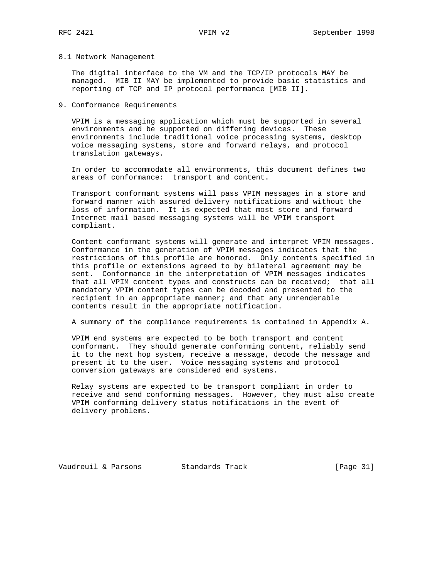#### 8.1 Network Management

 The digital interface to the VM and the TCP/IP protocols MAY be managed. MIB II MAY be implemented to provide basic statistics and reporting of TCP and IP protocol performance [MIB II].

# 9. Conformance Requirements

 VPIM is a messaging application which must be supported in several environments and be supported on differing devices. These environments include traditional voice processing systems, desktop voice messaging systems, store and forward relays, and protocol translation gateways.

 In order to accommodate all environments, this document defines two areas of conformance: transport and content.

 Transport conformant systems will pass VPIM messages in a store and forward manner with assured delivery notifications and without the loss of information. It is expected that most store and forward Internet mail based messaging systems will be VPIM transport compliant.

 Content conformant systems will generate and interpret VPIM messages. Conformance in the generation of VPIM messages indicates that the restrictions of this profile are honored. Only contents specified in this profile or extensions agreed to by bilateral agreement may be sent. Conformance in the interpretation of VPIM messages indicates that all VPIM content types and constructs can be received; that all mandatory VPIM content types can be decoded and presented to the recipient in an appropriate manner; and that any unrenderable contents result in the appropriate notification.

A summary of the compliance requirements is contained in Appendix A.

 VPIM end systems are expected to be both transport and content conformant. They should generate conforming content, reliably send it to the next hop system, receive a message, decode the message and present it to the user. Voice messaging systems and protocol conversion gateways are considered end systems.

 Relay systems are expected to be transport compliant in order to receive and send conforming messages. However, they must also create VPIM conforming delivery status notifications in the event of delivery problems.

Vaudreuil & Parsons Standards Track [Page 31]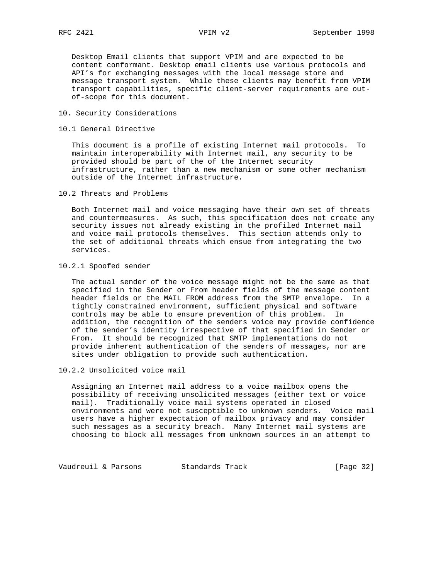Desktop Email clients that support VPIM and are expected to be content conformant. Desktop email clients use various protocols and API's for exchanging messages with the local message store and message transport system. While these clients may benefit from VPIM transport capabilities, specific client-server requirements are out of-scope for this document.

- 10. Security Considerations
- 10.1 General Directive

 This document is a profile of existing Internet mail protocols. To maintain interoperability with Internet mail, any security to be provided should be part of the of the Internet security infrastructure, rather than a new mechanism or some other mechanism outside of the Internet infrastructure.

10.2 Threats and Problems

 Both Internet mail and voice messaging have their own set of threats and countermeasures. As such, this specification does not create any security issues not already existing in the profiled Internet mail and voice mail protocols themselves. This section attends only to the set of additional threats which ensue from integrating the two services.

10.2.1 Spoofed sender

 The actual sender of the voice message might not be the same as that specified in the Sender or From header fields of the message content header fields or the MAIL FROM address from the SMTP envelope. In a tightly constrained environment, sufficient physical and software controls may be able to ensure prevention of this problem. In addition, the recognition of the senders voice may provide confidence of the sender's identity irrespective of that specified in Sender or From. It should be recognized that SMTP implementations do not provide inherent authentication of the senders of messages, nor are sites under obligation to provide such authentication.

10.2.2 Unsolicited voice mail

 Assigning an Internet mail address to a voice mailbox opens the possibility of receiving unsolicited messages (either text or voice mail). Traditionally voice mail systems operated in closed environments and were not susceptible to unknown senders. Voice mail users have a higher expectation of mailbox privacy and may consider such messages as a security breach. Many Internet mail systems are choosing to block all messages from unknown sources in an attempt to

Vaudreuil & Parsons Standards Track [Page 32]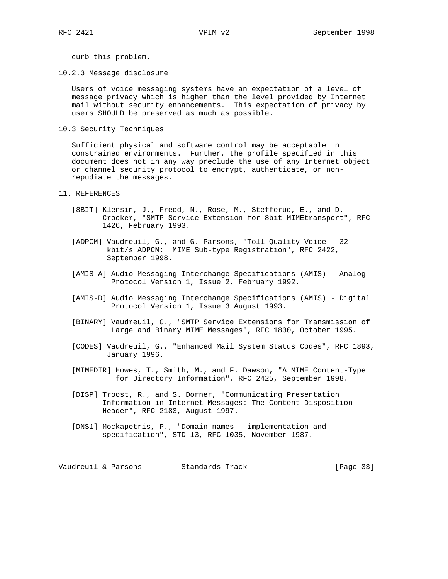curb this problem.

10.2.3 Message disclosure

 Users of voice messaging systems have an expectation of a level of message privacy which is higher than the level provided by Internet mail without security enhancements. This expectation of privacy by users SHOULD be preserved as much as possible.

10.3 Security Techniques

 Sufficient physical and software control may be acceptable in constrained environments. Further, the profile specified in this document does not in any way preclude the use of any Internet object or channel security protocol to encrypt, authenticate, or non repudiate the messages.

- 11. REFERENCES
	- [8BIT] Klensin, J., Freed, N., Rose, M., Stefferud, E., and D. Crocker, "SMTP Service Extension for 8bit-MIMEtransport", RFC 1426, February 1993.
	- [ADPCM] Vaudreuil, G., and G. Parsons, "Toll Quality Voice 32 kbit/s ADPCM: MIME Sub-type Registration", RFC 2422, September 1998.
	- [AMIS-A] Audio Messaging Interchange Specifications (AMIS) Analog Protocol Version 1, Issue 2, February 1992.
	- [AMIS-D] Audio Messaging Interchange Specifications (AMIS) Digital Protocol Version 1, Issue 3 August 1993.
	- [BINARY] Vaudreuil, G., "SMTP Service Extensions for Transmission of Large and Binary MIME Messages", RFC 1830, October 1995.
	- [CODES] Vaudreuil, G., "Enhanced Mail System Status Codes", RFC 1893, January 1996.
	- [MIMEDIR] Howes, T., Smith, M., and F. Dawson, "A MIME Content-Type for Directory Information", RFC 2425, September 1998.
	- [DISP] Troost, R., and S. Dorner, "Communicating Presentation Information in Internet Messages: The Content-Disposition Header", RFC 2183, August 1997.
	- [DNS1] Mockapetris, P., "Domain names implementation and specification", STD 13, RFC 1035, November 1987.

Vaudreuil & Parsons Standards Track [Page 33]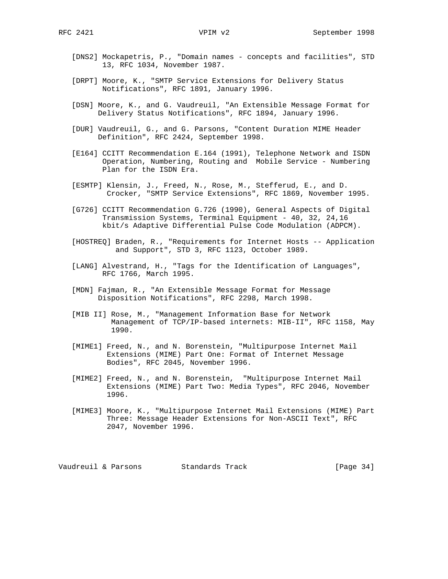- [DNS2] Mockapetris, P., "Domain names concepts and facilities", STD 13, RFC 1034, November 1987.
- [DRPT] Moore, K., "SMTP Service Extensions for Delivery Status Notifications", RFC 1891, January 1996.
- [DSN] Moore, K., and G. Vaudreuil, "An Extensible Message Format for Delivery Status Notifications", RFC 1894, January 1996.
- [DUR] Vaudreuil, G., and G. Parsons, "Content Duration MIME Header Definition", RFC 2424, September 1998.
- [E164] CCITT Recommendation E.164 (1991), Telephone Network and ISDN Operation, Numbering, Routing and Mobile Service - Numbering Plan for the ISDN Era.
- [ESMTP] Klensin, J., Freed, N., Rose, M., Stefferud, E., and D. Crocker, "SMTP Service Extensions", RFC 1869, November 1995.
- [G726] CCITT Recommendation G.726 (1990), General Aspects of Digital Transmission Systems, Terminal Equipment - 40, 32, 24,16 kbit/s Adaptive Differential Pulse Code Modulation (ADPCM).
- [HOSTREQ] Braden, R., "Requirements for Internet Hosts -- Application and Support", STD 3, RFC 1123, October 1989.
- [LANG] Alvestrand, H., "Tags for the Identification of Languages", RFC 1766, March 1995.
- [MDN] Fajman, R., "An Extensible Message Format for Message Disposition Notifications", RFC 2298, March 1998.
- [MIB II] Rose, M., "Management Information Base for Network Management of TCP/IP-based internets: MIB-II", RFC 1158, May 1990.
- [MIME1] Freed, N., and N. Borenstein, "Multipurpose Internet Mail Extensions (MIME) Part One: Format of Internet Message Bodies", RFC 2045, November 1996.
- [MIME2] Freed, N., and N. Borenstein, "Multipurpose Internet Mail Extensions (MIME) Part Two: Media Types", RFC 2046, November 1996.
- [MIME3] Moore, K., "Multipurpose Internet Mail Extensions (MIME) Part Three: Message Header Extensions for Non-ASCII Text", RFC 2047, November 1996.

Vaudreuil & Parsons Standards Track [Page 34]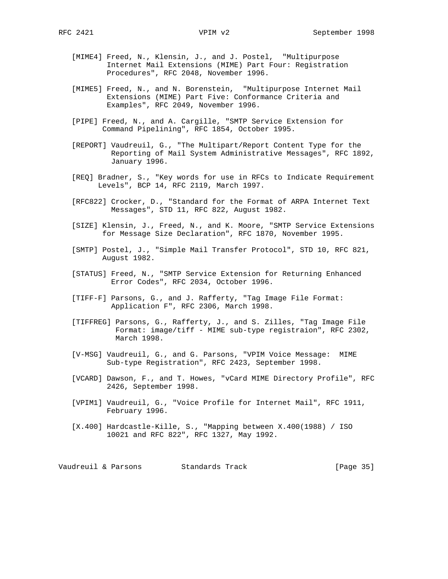- [MIME4] Freed, N., Klensin, J., and J. Postel, "Multipurpose Internet Mail Extensions (MIME) Part Four: Registration Procedures", RFC 2048, November 1996.
- [MIME5] Freed, N., and N. Borenstein, "Multipurpose Internet Mail Extensions (MIME) Part Five: Conformance Criteria and Examples", RFC 2049, November 1996.
- [PIPE] Freed, N., and A. Cargille, "SMTP Service Extension for Command Pipelining", RFC 1854, October 1995.
- [REPORT] Vaudreuil, G., "The Multipart/Report Content Type for the Reporting of Mail System Administrative Messages", RFC 1892, January 1996.
- [REQ] Bradner, S., "Key words for use in RFCs to Indicate Requirement Levels", BCP 14, RFC 2119, March 1997.
- [RFC822] Crocker, D., "Standard for the Format of ARPA Internet Text Messages", STD 11, RFC 822, August 1982.
- [SIZE] Klensin, J., Freed, N., and K. Moore, "SMTP Service Extensions for Message Size Declaration", RFC 1870, November 1995.
- [SMTP] Postel, J., "Simple Mail Transfer Protocol", STD 10, RFC 821, August 1982.
- [STATUS] Freed, N., "SMTP Service Extension for Returning Enhanced Error Codes", RFC 2034, October 1996.
- [TIFF-F] Parsons, G., and J. Rafferty, "Tag Image File Format: Application F", RFC 2306, March 1998.
- [TIFFREG] Parsons, G., Rafferty, J., and S. Zilles, "Tag Image File Format: image/tiff - MIME sub-type registraion", RFC 2302, March 1998.
- [V-MSG] Vaudreuil, G., and G. Parsons, "VPIM Voice Message: MIME Sub-type Registration", RFC 2423, September 1998.
- [VCARD] Dawson, F., and T. Howes, "vCard MIME Directory Profile", RFC 2426, September 1998.
- [VPIM1] Vaudreuil, G., "Voice Profile for Internet Mail", RFC 1911, February 1996.
- [X.400] Hardcastle-Kille, S., "Mapping between X.400(1988) / ISO 10021 and RFC 822", RFC 1327, May 1992.

Vaudreuil & Parsons Standards Track [Page 35]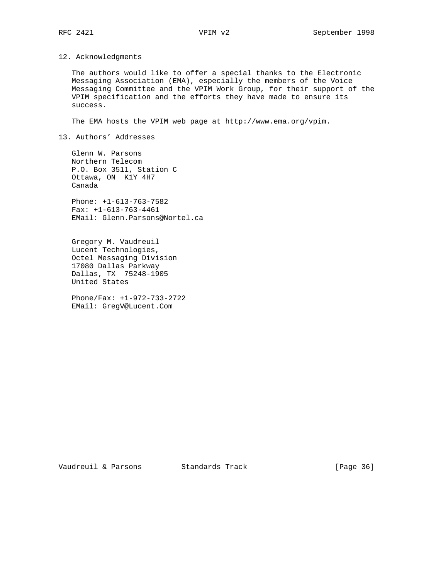### 12. Acknowledgments

 The authors would like to offer a special thanks to the Electronic Messaging Association (EMA), especially the members of the Voice Messaging Committee and the VPIM Work Group, for their support of the VPIM specification and the efforts they have made to ensure its success.

The EMA hosts the VPIM web page at http://www.ema.org/vpim.

# 13. Authors' Addresses

 Glenn W. Parsons Northern Telecom P.O. Box 3511, Station C Ottawa, ON K1Y 4H7 Canada

 Phone: +1-613-763-7582 Fax: +1-613-763-4461 EMail: Glenn.Parsons@Nortel.ca

 Gregory M. Vaudreuil Lucent Technologies, Octel Messaging Division 17080 Dallas Parkway Dallas, TX 75248-1905 United States

 Phone/Fax: +1-972-733-2722 EMail: GregV@Lucent.Com

Vaudreuil & Parsons Standards Track [Page 36]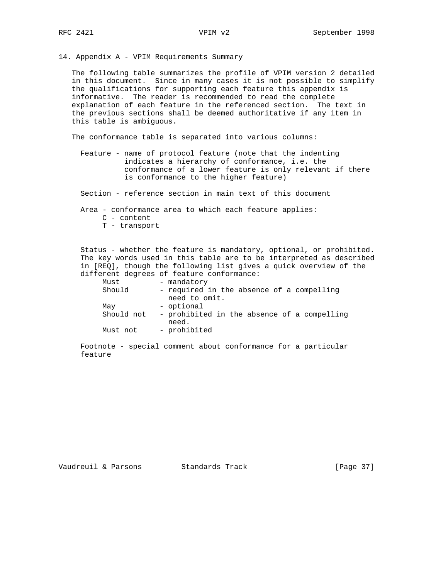14. Appendix A - VPIM Requirements Summary

 The following table summarizes the profile of VPIM version 2 detailed in this document. Since in many cases it is not possible to simplify the qualifications for supporting each feature this appendix is informative. The reader is recommended to read the complete explanation of each feature in the referenced section. The text in the previous sections shall be deemed authoritative if any item in this table is ambiguous.

The conformance table is separated into various columns:

 Feature - name of protocol feature (note that the indenting indicates a hierarchy of conformance, i.e. the conformance of a lower feature is only relevant if there is conformance to the higher feature)

Section - reference section in main text of this document

Area - conformance area to which each feature applies:

- C content
- T transport

 Status - whether the feature is mandatory, optional, or prohibited. The key words used in this table are to be interpreted as described in [REQ], though the following list gives a quick overview of the different degrees of feature conformance:

| Must       | - mandatory                                          |
|------------|------------------------------------------------------|
| Should     | - required in the absence of a compelling            |
|            | need to omit.                                        |
| May        | - optional                                           |
| Should not | - prohibited in the absence of a compelling<br>need. |
| Must not   | - prohibited                                         |

 Footnote - special comment about conformance for a particular feature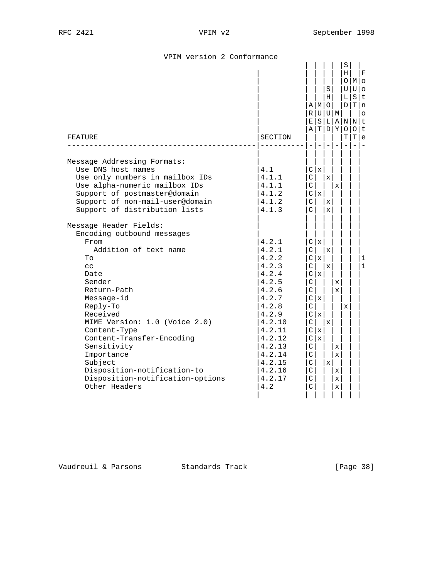| SECTION                                                                                                                                                                |                                                                                                                                         |             | S<br>O                                                                                     |                                | S<br>U<br>L<br>D<br>0<br>т | т                                                                                                           | F<br>$U \mid O$<br>SIt<br>T n<br>$\circ$<br>Olt<br>l e |
|------------------------------------------------------------------------------------------------------------------------------------------------------------------------|-----------------------------------------------------------------------------------------------------------------------------------------|-------------|--------------------------------------------------------------------------------------------|--------------------------------|----------------------------|-------------------------------------------------------------------------------------------------------------|--------------------------------------------------------|
| 4.1<br>4.1.1<br>4.1.1<br>4.1.2<br>4.1.2<br>4.1.3                                                                                                                       | $\mathsf{C}$<br>$\mathsf{C}$                                                                                                            |             | $\mathbf x$<br>X                                                                           |                                |                            |                                                                                                             |                                                        |
| 4.2.1<br>4.2.1<br>4.2.2<br>4.2.3<br>4.2.4<br>4.2.5<br>4.2.6<br>4.2.7<br>4.2.8<br>4.2.9<br>4.2.10<br>4.2.11<br>4.2.12<br>4.2.13<br>4.2.14<br>4.2.15<br>4.2.16<br>4.2.17 | C<br>$\mathsf{C}$<br>$\mathsf{C}$<br>$\rm C$<br>$\mathsf{C}$<br>$\mathcal{C}$<br>C<br>$\rm C$<br>$\mathsf{C}$<br>C<br>C<br>$\mathsf{C}$ | X           | $\mathbf x$<br>X<br>$\mathbf{x}$<br>$\mathbf x$                                            |                                |                            |                                                                                                             | 1<br>1                                                 |
|                                                                                                                                                                        | 4.2                                                                                                                                     | $\mathsf C$ | ΕI<br>$\mathsf{C}$<br>C x<br>$\vert$ C<br>C <sub>1</sub><br>C   x<br>C x<br>C <sub>x</sub> | A   M<br>C   x<br>C x<br>C   x | Н<br>S L <br>$\mathbf x$   | R U U M<br>A T D Y <br>X<br>$\mathbf{x}$<br>$\mathbf{x}$<br>$\mathbf x$<br>$\mathbf x$<br>x<br>$\mathbf{x}$ | н<br>O M <br>A N N t<br>x                              |

# VPIM version 2 Conformance

Vaudreuil & Parsons Standards Track [Page 38]

| | | | | | | |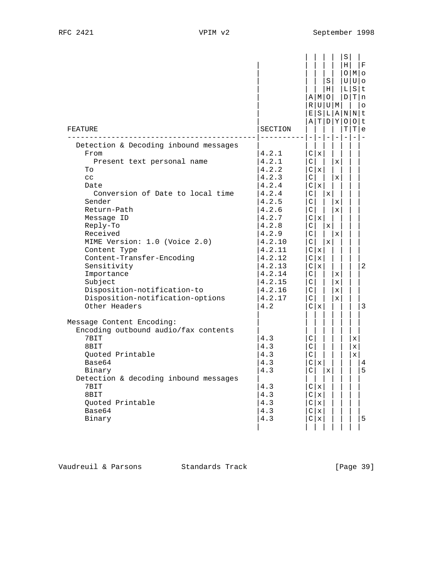| FEATURE                                                                                                                                                                                                                                                                                                                                                                                                      | SECTION                                                                                                                                                                                |                                                                                                                | $\overline{\phantom{a}}$                                       | S<br>H <sub>1</sub><br>$A$   M $\circ$<br>R U U M<br>A T D Y | $-1-$                                                                                                                  | $S \mid$<br>H <sub>1</sub><br>LΙ<br>E S L A N N t<br>Т<br>$\equiv$ | O M <br>$U U $ o<br>D/T/n<br>O[O]t<br>т | F<br>$S$  t<br>$\circ$<br>e<br>$\overline{\phantom{a}}$ |
|--------------------------------------------------------------------------------------------------------------------------------------------------------------------------------------------------------------------------------------------------------------------------------------------------------------------------------------------------------------------------------------------------------------|----------------------------------------------------------------------------------------------------------------------------------------------------------------------------------------|----------------------------------------------------------------------------------------------------------------|----------------------------------------------------------------|--------------------------------------------------------------|------------------------------------------------------------------------------------------------------------------------|--------------------------------------------------------------------|-----------------------------------------|---------------------------------------------------------|
| Detection & Decoding inbound messages<br>From<br>Present text personal name<br>To<br>cc<br>Date<br>Conversion of Date to local time<br>Sender<br>Return-Path<br>Message ID<br>Reply-To<br>Received<br>MIME Version: 1.0 (Voice 2.0)<br>Content Type<br>Content-Transfer-Encoding<br>Sensitivity<br>Importance<br>Subject<br>Disposition-notification-to<br>Disposition-notification-options<br>Other Headers | 4.2.1<br>4.2.1<br>4.2.2<br>4.2.3<br>4.2.4<br>4.2.4<br>4.2.5<br>4.2.6<br>4.2.7<br>4.2.8<br>4.2.9<br>4.2.10<br>4.2.11<br>4.2.12<br>4.2.13<br>4.2.14<br>4.2.15<br>4.2.16<br>4.2.17<br>4.2 | $\mathcal{C}$<br>C<br>$\vert$ C $\vert$<br>C<br>C<br>C I<br>C<br>C I<br>C<br>$\mathsf{C}$<br>$\mathsf{C}$<br>C | C x<br>C x<br>C   x  <br>Clx<br>C x<br>C x<br>C   x  <br>C   x | x <br>$\mathbf x$<br>$\mathbf{x}$                            | $\mathbf{x}$<br>$\mathbf{x}$<br>$\mathbf{x}$<br>$\mathbf{x}$<br>$\mathbf{x}$<br>x<br>$\mathbf{x}$<br>$\mathbf{x}$<br>X |                                                                    |                                         | 2<br>3                                                  |
| Message Content Encoding:<br>Encoding outbound audio/fax contents<br>7BIT<br>8BIT<br>Ouoted Printable<br>Base64<br>Binary<br>Detection & decoding inbound messages<br>7BIT<br>8BIT<br>Quoted Printable<br>Base64<br>Binary                                                                                                                                                                                   | 4.3<br>4.3<br>4.3<br>4.3<br>4.3<br>4.3<br>4.3<br>4.3<br>4.3<br>4.3                                                                                                                     | C<br>C<br>$\mathcal{C}$<br>$\lfloor$ C $\rfloor$<br>C                                                          | C x <br>C x<br>C   x<br>C   x<br>$\mathbf{x}$<br>C x           | $\mathbf x$                                                  |                                                                                                                        |                                                                    | x<br>$\mathbf{x}$<br>x                  | 4<br>5<br>5                                             |

Vaudreuil & Parsons Standards Track [Page 39]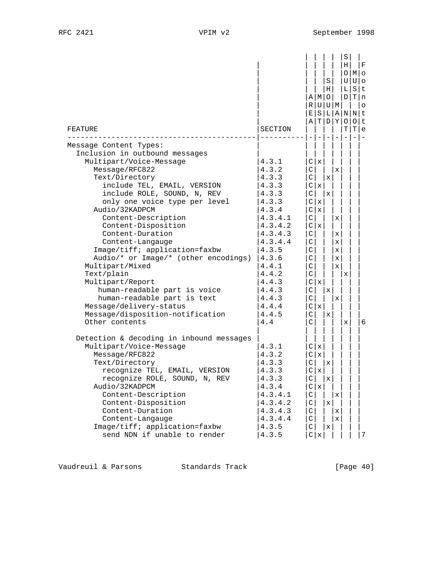| FEATURE                                                                                                                                                                                                                                                                                                                                                                                                                                                                                                                                                                            | SECTION                                                                                                                                                                                         | ΕI<br>ΑI                                                                                                                                                                                                              |                                                 | S<br>Н<br>AIMIO<br>R U U M<br>T D Y |                                                 | S<br>Η<br>UΙ<br>L<br>DΙ<br>$\circ$<br>т | O M <br>$U \,   \, o$<br>S t<br>Tln<br>S L A N N t<br>$0$  t<br>T e | F<br>$\circ$             |
|------------------------------------------------------------------------------------------------------------------------------------------------------------------------------------------------------------------------------------------------------------------------------------------------------------------------------------------------------------------------------------------------------------------------------------------------------------------------------------------------------------------------------------------------------------------------------------|-------------------------------------------------------------------------------------------------------------------------------------------------------------------------------------------------|-----------------------------------------------------------------------------------------------------------------------------------------------------------------------------------------------------------------------|-------------------------------------------------|-------------------------------------|-------------------------------------------------|-----------------------------------------|---------------------------------------------------------------------|--------------------------|
| Message Content Types:                                                                                                                                                                                                                                                                                                                                                                                                                                                                                                                                                             |                                                                                                                                                                                                 |                                                                                                                                                                                                                       |                                                 |                                     |                                                 |                                         |                                                                     | $\overline{\phantom{a}}$ |
| Inclusion in outbound messages<br>Multipart/Voice-Message<br>Message/RFC822<br>Text/Directory<br>include TEL, EMAIL, VERSION<br>include ROLE, SOUND, N, REV<br>only one voice type per level<br>Audio/32KADPCM<br>Content-Description<br>Content-Disposition<br>Content-Duration<br>Content-Langauge<br>Image/tiff; application=faxbw<br>Audio/* or Image/* (other encodings)<br>Multipart/Mixed<br>Text/plain<br>Multipart/Report<br>human-readable part is voice<br>human-readable part is text<br>Message/delivery-status<br>Message/disposition-notification<br>Other contents | 4.3.1<br>4.3.2<br>4.3.3<br>4.3.3<br>4.3.3<br>4.3.3<br>4.3.4<br>4.3.4.1<br>4.3.4.2<br>4.3.4.3<br>4.3.4.4<br>4.3.5<br>4.3.6<br>4.4.1<br>4.4.2<br>4.4.3<br>4.4.3<br>4.4.3<br>4.4.4<br>4.4.5<br>4.4 | $\mathsf{C}$<br>$\mathsf{C}$<br>$\mathsf{C}$<br> C <br>$\mathsf{C}$<br>$\vert$ C<br>$\mathsf{C}$<br>$\mathsf{C}$<br>$\mathsf C$<br>C<br>C<br>$\mathsf{C}$<br> C <br>$\mathsf{C}$<br>$\mathsf{C}$<br>C<br>$\mathsf{C}$ | C   x<br>C   x<br>C   x<br>X<br>X<br>X<br>C   x | х<br>X<br>$\mathbf x$<br>x          | x<br>x<br>x<br>$\mathbf{x}$<br>x<br>x<br>X<br>x | х<br>x                                  |                                                                     | 6                        |
| Detection & decoding in inbound messages<br>Multipart/Voice-Message<br>Message/RFC822<br>Text/Directory<br>recognize TEL, EMAIL, VERSION<br>recognize ROLE, SOUND, N, REV<br>Audio/32KADPCM<br>Content-Description<br>Content-Disposition<br>Content-Duration<br>Content-Langauge<br>Image/tiff; application=faxbw<br>send NDN if unable to render                                                                                                                                                                                                                                 | 4.3.1<br>4.3.2<br>4.3.3<br>4.3.3<br>4.3.3<br>4.3.4<br>4.3.4.1<br>4.3.4.2<br>4.3.4.3<br>4.3.4.4<br>4.3.5<br>4.3.5                                                                                | C <br>C<br>C<br>C<br>$\mathsf C$<br>$\mathsf C$<br>C<br>$\mathsf C$<br>C                                                                                                                                              | C   x<br>X<br>X<br>C   x<br>$C \mid x$          | x<br>X<br>x<br>Х                    | x<br>x<br>X                                     |                                         |                                                                     | 7                        |

Vaudreuil & Parsons Standards Track [Page 40]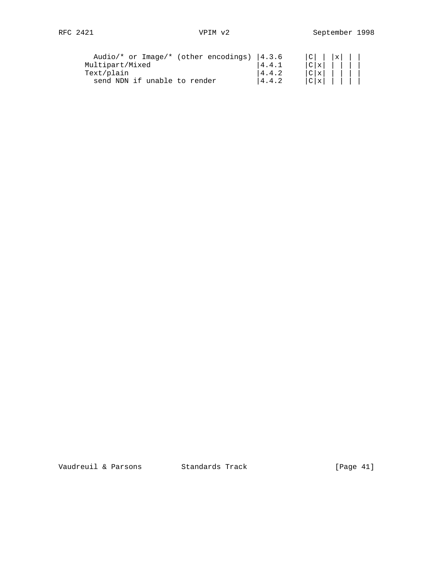| Audio/* or Image/* (other encodings) | 14.3.6 | l x l        |
|--------------------------------------|--------|--------------|
| Multipart/Mixed                      | 4.4.1  | C x          |
| Text/plain                           | 4.4.2  | C x          |
| send NDN if unable to render         | 4.4.2  | $ C  \times$ |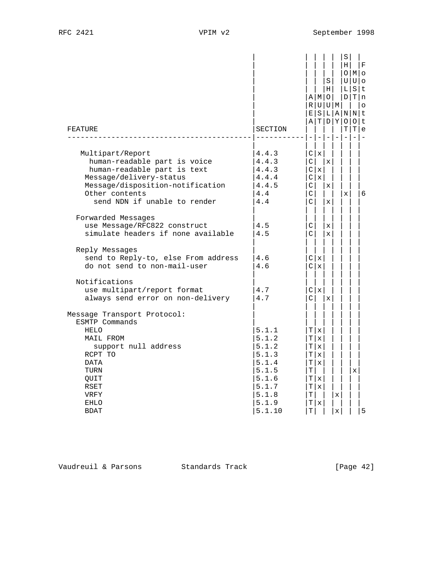| FEATURE                                                                                                                                                                                          | SECTION                                                                                          | AIMIO<br>R U U M<br>Е<br>ΑI                                       | S L A <br>TIDIY<br>$\overline{\phantom{a}}$ | S<br>Н                      |                  | S<br>H <sub>1</sub><br>L<br>D <sub>1</sub><br>т | OIMIO<br>UUlo<br>т<br>N N t<br>0 0<br>T | F<br>$S$  t<br>l n<br>$\circ$<br>l t<br>l e |
|--------------------------------------------------------------------------------------------------------------------------------------------------------------------------------------------------|--------------------------------------------------------------------------------------------------|-------------------------------------------------------------------|---------------------------------------------|-----------------------------|------------------|-------------------------------------------------|-----------------------------------------|---------------------------------------------|
| Multipart/Report<br>human-readable part is voice<br>human-readable part is text<br>Message/delivery-status<br>Message/disposition-notification<br>Other contents<br>send NDN if unable to render | 4.4.3<br>4.4.3<br>4.4.3<br>4.4.4<br>4.4.5<br>4.4<br>4.4                                          | C x<br>C<br>C x<br>C x <br>C<br>C<br>$\mathsf{C}$                 |                                             | X<br>X<br>X                 |                  | $\mathbf{x}$                                    |                                         | 6                                           |
| Forwarded Messages<br>use Message/RFC822 construct<br>simulate headers if none available                                                                                                         | 4.5<br>4.5                                                                                       | C<br>C                                                            |                                             | $\mathbf x$<br>$\mathbf{x}$ |                  |                                                 |                                         |                                             |
| Reply Messages<br>send to Reply-to, else From address<br>do not send to non-mail-user                                                                                                            | 4.6<br>4.6                                                                                       | C x <br>C <sub>1</sub>                                            |                                             |                             |                  |                                                 |                                         |                                             |
| Notifications<br>use multipart/report format<br>always send error on non-delivery                                                                                                                | 4.7<br>4.7                                                                                       | Clx<br>C                                                          |                                             | X                           |                  |                                                 |                                         |                                             |
| Message Transport Protocol:<br>ESMTP Commands<br>HELO<br>MAIL FROM<br>support null address<br>RCPT TO<br>DATA<br>TURN<br>QUIT<br>RSET<br>VRFY<br><b>EHLO</b><br><b>BDAT</b>                      | 5.1.1<br>5.1.2<br>5.1.2<br>5.1.3<br>5.1.4<br>5.1.5<br>5.1.6<br>5.1.7<br>5.1.8<br>5.1.9<br>5.1.10 | T x<br>Tlx<br>T x <br>т<br>Tlx<br>т<br>T∣x<br>T x <br>т<br>т<br>т | $\mathbf{x}$<br>X                           |                             | x<br>$\mathbf x$ |                                                 | X                                       | 5                                           |

Vaudreuil & Parsons Standards Track [Page 42]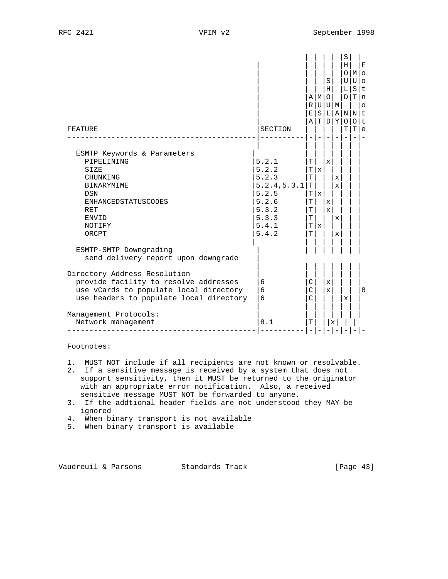| FEATURE                                                                                                                                                                                                                                                                    | SECTION                                                                                       | Е<br>ΑI                              | AMO<br>R U U M               | S<br>Н                            | T D Y                                 | S<br>н<br>O<br>U<br>L<br>D<br>S L A N N t<br>$\circ$<br>т | IMIo<br>Ulo<br>SIt<br>Tln<br>∩<br>т | F<br>$\circ$<br>t.<br>e |
|----------------------------------------------------------------------------------------------------------------------------------------------------------------------------------------------------------------------------------------------------------------------------|-----------------------------------------------------------------------------------------------|--------------------------------------|------------------------------|-----------------------------------|---------------------------------------|-----------------------------------------------------------|-------------------------------------|-------------------------|
| ESMTP Keywords & Parameters<br>PIPELINING<br><b>SIZE</b><br><b>CHUNKING</b><br><b>BINARYMIME</b><br><b>DSN</b><br><b>ENHANCEDSTATUSCODES</b><br><b>RET</b><br><b>ENVID</b><br>NOTIFY<br>ORCPT                                                                              | 5.2.1<br>5.2.2<br>5.2.3<br>5.2.4, 5.3.1<br>5.2.5<br>5.2.6<br>5.3.2<br>5.3.3<br>5.4.1<br>5.4.2 | T<br>Т<br>т<br>т<br>Т<br>т<br>T<br>T | $\mathbf{x}$<br>Tlx<br>T   x | $\mathbf{x}$<br>x<br>$\mathbf{x}$ | $\mathbf x$<br>$\mathbf{x}$<br>X<br>X |                                                           |                                     |                         |
| ESMTP-SMTP Downgrading<br>send delivery report upon downgrade<br>Directory Address Resolution<br>provide facility to resolve addresses<br>use vCards to populate local directory<br>use headers to populate local directory<br>Management Protocols:<br>Network management | 6<br>6<br>6<br>8.1                                                                            | C<br>C<br>C<br>Т                     |                              | X<br>x                            | X                                     | x                                                         |                                     | 8                       |

Footnotes:

1. MUST NOT include if all recipients are not known or resolvable.

- 2. If a sensitive message is received by a system that does not support sensitivity, then it MUST be returned to the originator with an appropriate error notification. Also, a received sensitive message MUST NOT be forwarded to anyone.
- 3. If the addtional header fields are not understood they MAY be ignored
- 4. When binary transport is not available
- 5. When binary transport is available

Vaudreuil & Parsons Standards Track [Page 43]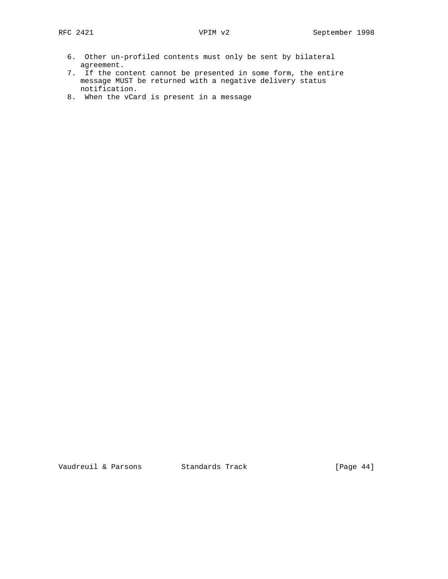- 6. Other un-profiled contents must only be sent by bilateral agreement.
- 7. If the content cannot be presented in some form, the entire message MUST be returned with a negative delivery status notification.
- 8. When the vCard is present in a message

Vaudreuil & Parsons Standards Track [Page 44]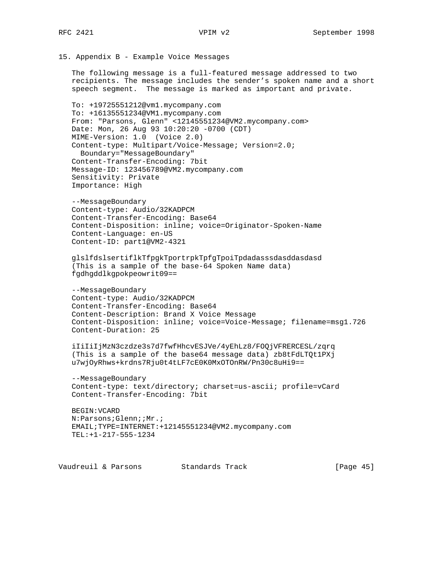```
15. Appendix B - Example Voice Messages
```
 The following message is a full-featured message addressed to two recipients. The message includes the sender's spoken name and a short speech segment. The message is marked as important and private.

 To: +19725551212@vm1.mycompany.com To: +16135551234@VM1.mycompany.com From: "Parsons, Glenn" <12145551234@VM2.mycompany.com> Date: Mon, 26 Aug 93 10:20:20 -0700 (CDT) MIME-Version: 1.0 (Voice 2.0) Content-type: Multipart/Voice-Message; Version=2.0; Boundary="MessageBoundary" Content-Transfer-Encoding: 7bit Message-ID: 123456789@VM2.mycompany.com Sensitivity: Private Importance: High

 --MessageBoundary Content-type: Audio/32KADPCM Content-Transfer-Encoding: Base64 Content-Disposition: inline; voice=Originator-Spoken-Name Content-Language: en-US Content-ID: part1@VM2-4321

 glslfdslsertiflkTfpgkTportrpkTpfgTpoiTpdadasssdasddasdasd (This is a sample of the base-64 Spoken Name data) fgdhgddlkgpokpeowrit09==

 --MessageBoundary Content-type: Audio/32KADPCM Content-Transfer-Encoding: Base64 Content-Description: Brand X Voice Message Content-Disposition: inline; voice=Voice-Message; filename=msg1.726 Content-Duration: 25

 iIiIiIjMzN3czdze3s7d7fwfHhcvESJVe/4yEhLz8/FOQjVFRERCESL/zqrq (This is a sample of the base64 message data) zb8tFdLTQt1PXj u7wjOyRhws+krdns7Rju0t4tLF7cE0K0MxOTOnRW/Pn30c8uHi9==

 --MessageBoundary Content-type: text/directory; charset=us-ascii; profile=vCard Content-Transfer-Encoding: 7bit

```
 BEGIN:VCARD
 N:Parsons;Glenn;;Mr.;
 EMAIL;TYPE=INTERNET:+12145551234@VM2.mycompany.com
 TEL:+1-217-555-1234
```
Vaudreuil & Parsons Standards Track [Page 45]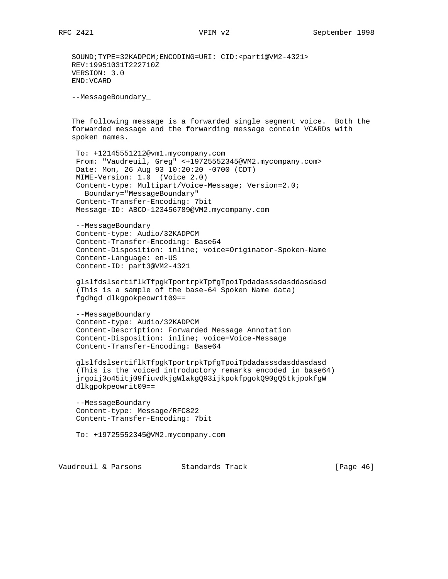SOUND;TYPE=32KADPCM;ENCODING=URI: CID:<part1@VM2-4321> REV:19951031T222710Z VERSION: 3.0 END:VCARD --MessageBoundary\_ The following message is a forwarded single segment voice. Both the forwarded message and the forwarding message contain VCARDs with spoken names. To: +12145551212@vm1.mycompany.com From: "Vaudreuil, Greg" <+19725552345@VM2.mycompany.com> Date: Mon, 26 Aug 93 10:20:20 -0700 (CDT) MIME-Version: 1.0 (Voice 2.0) Content-type: Multipart/Voice-Message; Version=2.0; Boundary="MessageBoundary" Content-Transfer-Encoding: 7bit Message-ID: ABCD-123456789@VM2.mycompany.com --MessageBoundary Content-type: Audio/32KADPCM Content-Transfer-Encoding: Base64 Content-Disposition: inline; voice=Originator-Spoken-Name Content-Language: en-US Content-ID: part3@VM2-4321 glslfdslsertiflkTfpgkTportrpkTpfgTpoiTpdadasssdasddasdasd (This is a sample of the base-64 Spoken Name data) fgdhgd dlkgpokpeowrit09== --MessageBoundary Content-type: Audio/32KADPCM Content-Description: Forwarded Message Annotation Content-Disposition: inline; voice=Voice-Message Content-Transfer-Encoding: Base64 glslfdslsertiflkTfpgkTportrpkTpfgTpoiTpdadasssdasddasdasd (This is the voiced introductory remarks encoded in base64) jrgoij3o45itj09fiuvdkjgWlakgQ93ijkpokfpgokQ90gQ5tkjpokfgW dlkgpokpeowrit09== --MessageBoundary

 Content-type: Message/RFC822 Content-Transfer-Encoding: 7bit

To: +19725552345@VM2.mycompany.com

Vaudreuil & Parsons Standards Track [Page 46]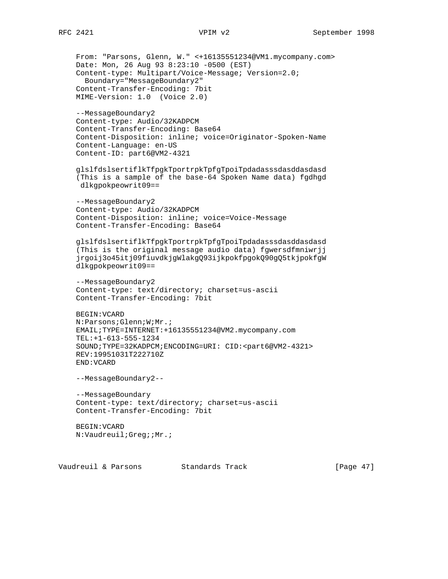```
 From: "Parsons, Glenn, W." <+16135551234@VM1.mycompany.com>
 Date: Mon, 26 Aug 93 8:23:10 -0500 (EST)
 Content-type: Multipart/Voice-Message; Version=2.0;
   Boundary="MessageBoundary2"
 Content-Transfer-Encoding: 7bit
 MIME-Version: 1.0 (Voice 2.0)
 --MessageBoundary2
 Content-type: Audio/32KADPCM
 Content-Transfer-Encoding: Base64
 Content-Disposition: inline; voice=Originator-Spoken-Name
 Content-Language: en-US
 Content-ID: part6@VM2-4321
 glslfdslsertiflkTfpgkTportrpkTpfgTpoiTpdadasssdasddasdasd
 (This is a sample of the base-64 Spoken Name data) fgdhgd
 dlkgpokpeowrit09==
 --MessageBoundary2
 Content-type: Audio/32KADPCM
 Content-Disposition: inline; voice=Voice-Message
 Content-Transfer-Encoding: Base64
 glslfdslsertiflkTfpgkTportrpkTpfgTpoiTpdadasssdasddasdasd
 (This is the original message audio data) fgwersdfmniwrjj
 jrgoij3o45itj09fiuvdkjgWlakgQ93ijkpokfpgokQ90gQ5tkjpokfgW
 dlkgpokpeowrit09==
 --MessageBoundary2
 Content-type: text/directory; charset=us-ascii
 Content-Transfer-Encoding: 7bit
 BEGIN:VCARD
 N:Parsons;Glenn;W;Mr.;
 EMAIL;TYPE=INTERNET:+16135551234@VM2.mycompany.com
 TEL:+1-613-555-1234
 SOUND;TYPE=32KADPCM;ENCODING=URI: CID:<part6@VM2-4321>
 REV:19951031T222710Z
 END:VCARD
 --MessageBoundary2--
 --MessageBoundary
 Content-type: text/directory; charset=us-ascii
 Content-Transfer-Encoding: 7bit
 BEGIN:VCARD
 N:Vaudreuil;Greg;;Mr.;
```
Vaudreuil & Parsons Standards Track [Page 47]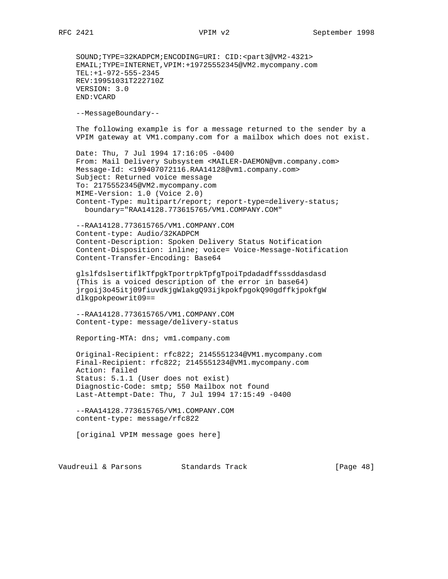SOUND;TYPE=32KADPCM;ENCODING=URI: CID:<part3@VM2-4321> EMAIL;TYPE=INTERNET,VPIM:+19725552345@VM2.mycompany.com TEL:+1-972-555-2345 REV:19951031T222710Z VERSION: 3.0 END:VCARD

--MessageBoundary--

 The following example is for a message returned to the sender by a VPIM gateway at VM1.company.com for a mailbox which does not exist.

 Date: Thu, 7 Jul 1994 17:16:05 -0400 From: Mail Delivery Subsystem <MAILER-DAEMON@vm.company.com> Message-Id: <199407072116.RAA14128@vm1.company.com> Subject: Returned voice message To: 2175552345@VM2.mycompany.com MIME-Version: 1.0 (Voice 2.0) Content-Type: multipart/report; report-type=delivery-status; boundary="RAA14128.773615765/VM1.COMPANY.COM"

 --RAA14128.773615765/VM1.COMPANY.COM Content-type: Audio/32KADPCM Content-Description: Spoken Delivery Status Notification Content-Disposition: inline; voice= Voice-Message-Notification Content-Transfer-Encoding: Base64

 glslfdslsertiflkTfpgkTportrpkTpfgTpoiTpdadadffsssddasdasd (This is a voiced description of the error in base64) jrgoij3o45itj09fiuvdkjgWlakgQ93ijkpokfpgokQ90gdffkjpokfgW dlkgpokpeowrit09==

 --RAA14128.773615765/VM1.COMPANY.COM Content-type: message/delivery-status

Reporting-MTA: dns; vm1.company.com

 Original-Recipient: rfc822; 2145551234@VM1.mycompany.com Final-Recipient: rfc822; 2145551234@VM1.mycompany.com Action: failed Status: 5.1.1 (User does not exist) Diagnostic-Code: smtp; 550 Mailbox not found Last-Attempt-Date: Thu, 7 Jul 1994 17:15:49 -0400

 --RAA14128.773615765/VM1.COMPANY.COM content-type: message/rfc822

[original VPIM message goes here]

Vaudreuil & Parsons Standards Track [Page 48]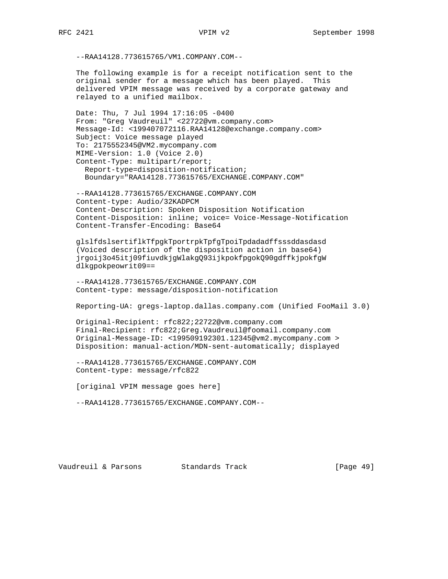--RAA14128.773615765/VM1.COMPANY.COM--

 The following example is for a receipt notification sent to the original sender for a message which has been played. This delivered VPIM message was received by a corporate gateway and relayed to a unified mailbox.

 Date: Thu, 7 Jul 1994 17:16:05 -0400 From: "Greg Vaudreuil" <22722@vm.company.com> Message-Id: <199407072116.RAA14128@exchange.company.com> Subject: Voice message played To: 2175552345@VM2.mycompany.com MIME-Version: 1.0 (Voice 2.0) Content-Type: multipart/report; Report-type=disposition-notification; Boundary="RAA14128.773615765/EXCHANGE.COMPANY.COM"

 --RAA14128.773615765/EXCHANGE.COMPANY.COM Content-type: Audio/32KADPCM Content-Description: Spoken Disposition Notification Content-Disposition: inline; voice= Voice-Message-Notification Content-Transfer-Encoding: Base64

 glslfdslsertiflkTfpgkTportrpkTpfgTpoiTpdadadffsssddasdasd (Voiced description of the disposition action in base64) jrgoij3o45itj09fiuvdkjgWlakgQ93ijkpokfpgokQ90gdffkjpokfgW dlkgpokpeowrit09==

 --RAA14128.773615765/EXCHANGE.COMPANY.COM Content-type: message/disposition-notification

Reporting-UA: gregs-laptop.dallas.company.com (Unified FooMail 3.0)

 Original-Recipient: rfc822;22722@vm.company.com Final-Recipient: rfc822;Greg.Vaudreuil@foomail.company.com Original-Message-ID: <199509192301.12345@vm2.mycompany.com > Disposition: manual-action/MDN-sent-automatically; displayed

 --RAA14128.773615765/EXCHANGE.COMPANY.COM Content-type: message/rfc822

[original VPIM message goes here]

--RAA14128.773615765/EXCHANGE.COMPANY.COM--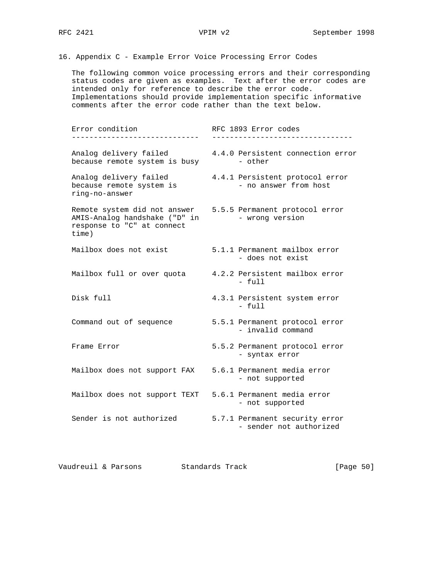16. Appendix C - Example Error Voice Processing Error Codes

 The following common voice processing errors and their corresponding status codes are given as examples. Text after the error codes are intended only for reference to describe the error code. Implementations should provide implementation specific informative comments after the error code rather than the text below.

Error condition RFC 1893 Error codes ----------------------------- -------------------------------- Analog delivery failed 4.4.0 Persistent connection error because remote system is busy - other Analog delivery failed 4.4.1 Persistent protocol error because remote system is - no answer from host ring-no-answer Remote system did not answer 5.5.5 Permanent protocol error AMIS-Analog handshake ("D" in - wrong version response to "C" at connect time) Mailbox does not exist 5.1.1 Permanent mailbox error - does not exist Mailbox full or over quota 4.2.2 Persistent mailbox error - full Disk full 4.3.1 Persistent system error - full Command out of sequence 5.5.1 Permanent protocol error - invalid command Frame Error 6.5.2 Permanent protocol error - syntax error Mailbox does not support FAX 5.6.1 Permanent media error - not supported Mailbox does not support TEXT 5.6.1 Permanent media error - not supported Sender is not authorized 5.7.1 Permanent security error - sender not authorized

Vaudreuil & Parsons Standards Track [Page 50]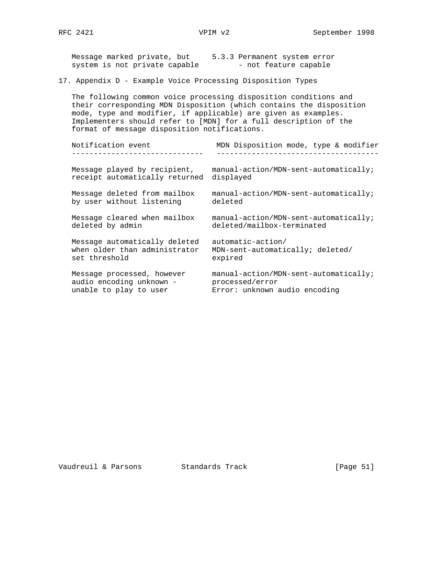| Message marked private, but<br>system is not private capable                                                   | 5.3.3 Permanent system error<br>- not feature capable                                                                                                                                                       |
|----------------------------------------------------------------------------------------------------------------|-------------------------------------------------------------------------------------------------------------------------------------------------------------------------------------------------------------|
| 17. Appendix D - Example Voice Processing Disposition Types                                                    |                                                                                                                                                                                                             |
| mode, type and modifier, if applicable) are given as examples.<br>format of message disposition notifications. | The following common voice processing disposition conditions and<br>their corresponding MDN Disposition (which contains the disposition<br>Implementers should refer to [MDN] for a full description of the |
| Notification event                                                                                             | MDN Disposition mode, type & modifier                                                                                                                                                                       |
| Message played by recipient,<br>receipt automatically returned                                                 | manual-action/MDN-sent-automatically;<br>displayed                                                                                                                                                          |
| Message deleted from mailbox<br>by user without listening                                                      | manual-action/MDN-sent-automatically;<br>deleted                                                                                                                                                            |
| Message cleared when mailbox<br>deleted by admin                                                               | manual-action/MDN-sent-automatically;<br>deleted/mailbox-terminated                                                                                                                                         |
| Message automatically deleted<br>when older than administrator<br>set threshold                                | automatic-action/<br>MDN-sent-automatically; deleted/<br>expired                                                                                                                                            |
| Message processed, however<br>audio encoding unknown -<br>unable to play to user                               | manual-action/MDN-sent-automatically;<br>processed/error<br>Error: unknown audio encoding                                                                                                                   |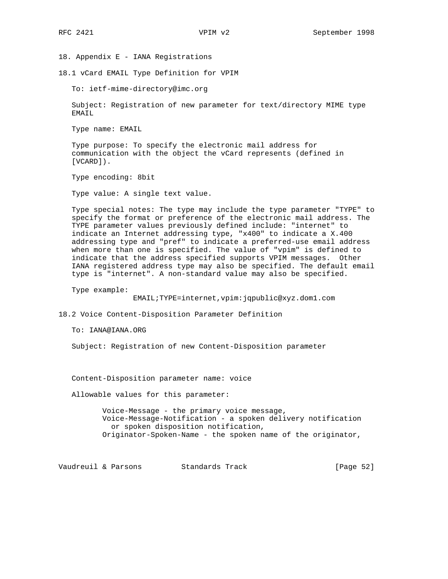18. Appendix E - IANA Registrations

18.1 vCard EMAIL Type Definition for VPIM

To: ietf-mime-directory@imc.org

 Subject: Registration of new parameter for text/directory MIME type EMAIL

Type name: EMAIL

 Type purpose: To specify the electronic mail address for communication with the object the vCard represents (defined in [VCARD]).

Type encoding: 8bit

Type value: A single text value.

 Type special notes: The type may include the type parameter "TYPE" to specify the format or preference of the electronic mail address. The TYPE parameter values previously defined include: "internet" to indicate an Internet addressing type, "x400" to indicate a X.400 addressing type and "pref" to indicate a preferred-use email address when more than one is specified. The value of "vpim" is defined to indicate that the address specified supports VPIM messages. Other IANA registered address type may also be specified. The default email type is "internet". A non-standard value may also be specified.

Type example:

EMAIL;TYPE=internet,vpim:jqpublic@xyz.dom1.com

18.2 Voice Content-Disposition Parameter Definition

To: IANA@IANA.ORG

Subject: Registration of new Content-Disposition parameter

Content-Disposition parameter name: voice

Allowable values for this parameter:

 Voice-Message - the primary voice message, Voice-Message-Notification - a spoken delivery notification or spoken disposition notification, Originator-Spoken-Name - the spoken name of the originator,

Vaudreuil & Parsons Standards Track [Page 52]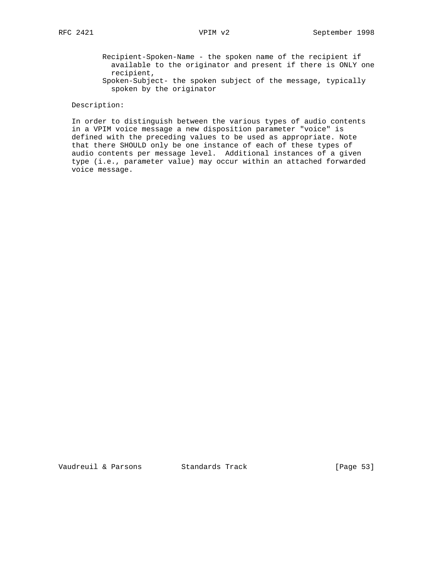- Recipient-Spoken-Name the spoken name of the recipient if available to the originator and present if there is ONLY one recipient,
- Spoken-Subject- the spoken subject of the message, typically spoken by the originator

# Description:

 In order to distinguish between the various types of audio contents in a VPIM voice message a new disposition parameter "voice" is defined with the preceding values to be used as appropriate. Note that there SHOULD only be one instance of each of these types of audio contents per message level. Additional instances of a given type (i.e., parameter value) may occur within an attached forwarded voice message.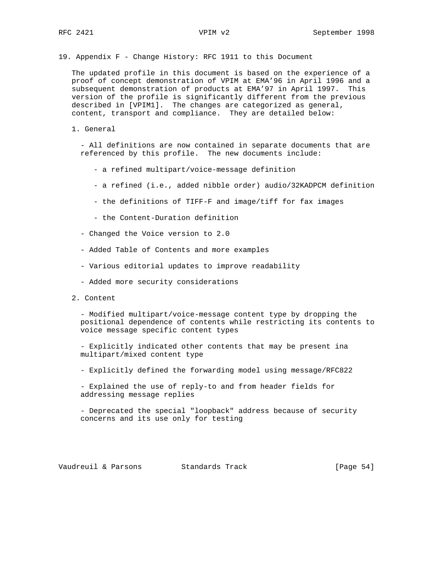19. Appendix F - Change History: RFC 1911 to this Document

 The updated profile in this document is based on the experience of a proof of concept demonstration of VPIM at EMA'96 in April 1996 and a subsequent demonstration of products at EMA'97 in April 1997. This version of the profile is significantly different from the previous described in [VPIM1]. The changes are categorized as general, content, transport and compliance. They are detailed below:

1. General

 - All definitions are now contained in separate documents that are referenced by this profile. The new documents include:

- a refined multipart/voice-message definition
- a refined (i.e., added nibble order) audio/32KADPCM definition
- the definitions of TIFF-F and image/tiff for fax images
- the Content-Duration definition
- Changed the Voice version to 2.0
- Added Table of Contents and more examples
- Various editorial updates to improve readability
- Added more security considerations
- 2. Content

 - Modified multipart/voice-message content type by dropping the positional dependence of contents while restricting its contents to voice message specific content types

 - Explicitly indicated other contents that may be present ina multipart/mixed content type

- Explicitly defined the forwarding model using message/RFC822

 - Explained the use of reply-to and from header fields for addressing message replies

 - Deprecated the special "loopback" address because of security concerns and its use only for testing

Vaudreuil & Parsons Standards Track [Page 54]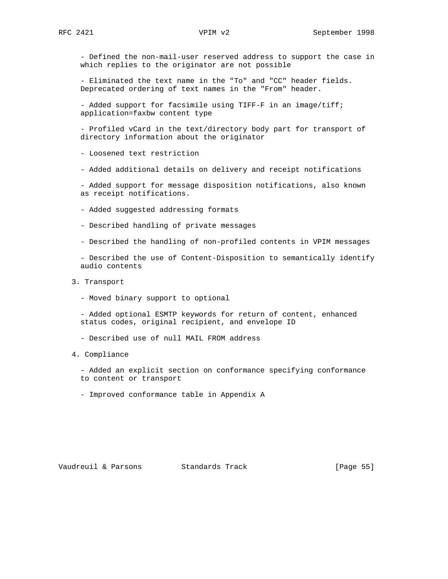- Defined the non-mail-user reserved address to support the case in which replies to the originator are not possible

 - Eliminated the text name in the "To" and "CC" header fields. Deprecated ordering of text names in the "From" header.

 - Added support for facsimile using TIFF-F in an image/tiff; application=faxbw content type

 - Profiled vCard in the text/directory body part for transport of directory information about the originator

- Loosened text restriction

- Added additional details on delivery and receipt notifications

 - Added support for message disposition notifications, also known as receipt notifications.

- Added suggested addressing formats
- Described handling of private messages
- Described the handling of non-profiled contents in VPIM messages

 - Described the use of Content-Disposition to semantically identify audio contents

- 3. Transport
	- Moved binary support to optional

 - Added optional ESMTP keywords for return of content, enhanced status codes, original recipient, and envelope ID

- Described use of null MAIL FROM address
- 4. Compliance

 - Added an explicit section on conformance specifying conformance to content or transport

- Improved conformance table in Appendix A